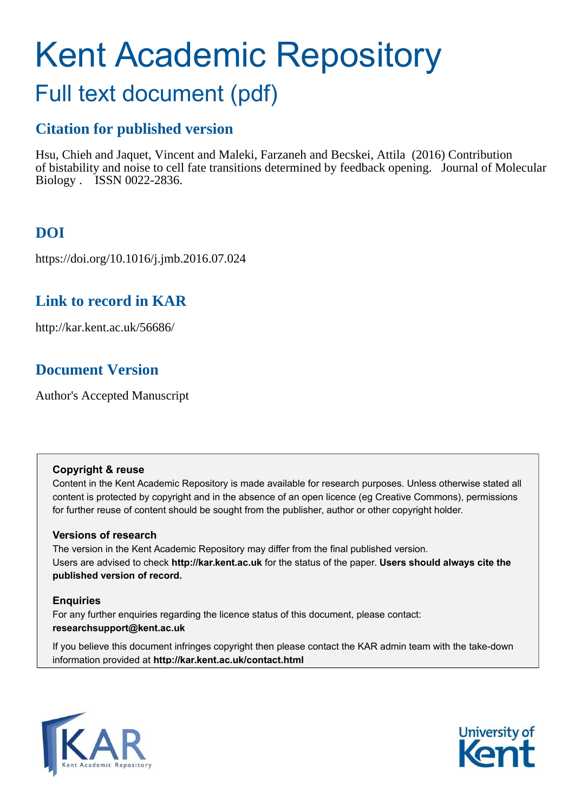# Kent Academic Repository

# Full text document (pdf)

### **Citation for published version**

Hsu, Chieh and Jaquet, Vincent and Maleki, Farzaneh and Becskei, Attila (2016) Contribution of bistability and noise to cell fate transitions determined by feedback opening. Journal of Molecular Biology . ISSN 0022-2836.

### **DOI**

https://doi.org/10.1016/j.jmb.2016.07.024

### **Link to record in KAR**

http://kar.kent.ac.uk/56686/

### **Document Version**

Author's Accepted Manuscript

#### **Copyright & reuse**

Content in the Kent Academic Repository is made available for research purposes. Unless otherwise stated all content is protected by copyright and in the absence of an open licence (eg Creative Commons), permissions for further reuse of content should be sought from the publisher, author or other copyright holder.

#### **Versions of research**

The version in the Kent Academic Repository may differ from the final published version. Users are advised to check **http://kar.kent.ac.uk** for the status of the paper. **Users should always cite the published version of record.**

#### **Enquiries**

For any further enquiries regarding the licence status of this document, please contact: **researchsupport@kent.ac.uk**

If you believe this document infringes copyright then please contact the KAR admin team with the take-down information provided at **http://kar.kent.ac.uk/contact.html**



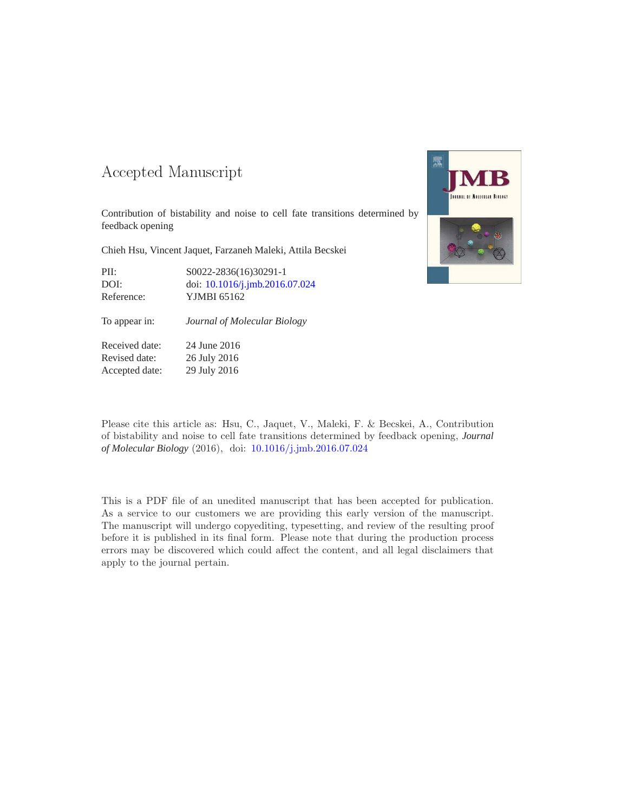#### 

Contribution of bistability and noise to cell fate transitions determined by feedback opening

Chieh Hsu, Vincent Jaquet, Farzaneh Maleki, Attila Becskei

| PII:       | S0022-2836(16)30291-1          |
|------------|--------------------------------|
| DOI:       | doi: 10.1016/j.jmb.2016.07.024 |
| Reference: | YJMBI 65162                    |

| Reference:    | YJMBI 65162                  |
|---------------|------------------------------|
| To appear in: | Journal of Molecular Biology |

Received date: 24 June 2016 Revised date: 26 July 2016 Accepted date: 29 July 2016



Please cite this article as: Hsu, C., Jaquet, V., Maleki, F. & Becskei, A., Contribution of bistability and noise to cell fate transitions determined by feedback opening, *Journal of Molecular Biology* (2016), doi: [10.1016/j.jmb.2016.07.024](http://dx.doi.org/10.1016/j.jmb.2016.07.024)

This is a PDF file of an unedited manuscript that has been accepted for publication. As a service to our customers we are providing this early version of the manuscript. The manuscript will undergo copyediting, typesetting, and review of the resulting proof before it is published in its final form. Please note that during the production process errors may be discovered which could affect the content, and all legal disclaimers that apply to the journal pertain.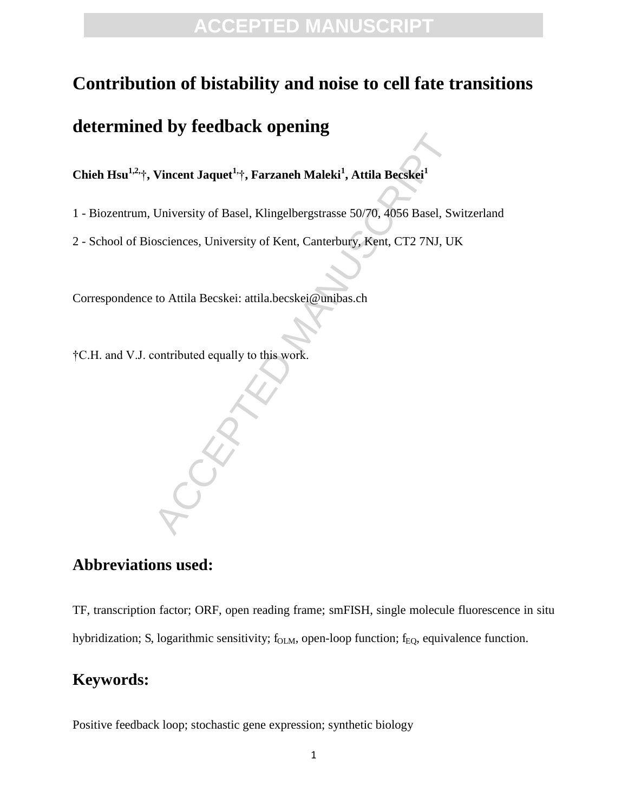### **Contribution of bistability and noise to cell fate transitions**

### **determined by feedback opening**

**Chieh Hsu1,2,** †**, Vincent Jaquet1,**†**, Farzaneh Maleki<sup>1</sup> , Attila Becskei<sup>1</sup>**

- 1 Biozentrum, University of Basel, Klingelbergstrasse 50/70, 4056 Basel, Switzerland
- Vincent Jaquet<sup>1,</sup> Tarzaneh Maleki<sup>1</sup>, Attila Becskei<sup>1</sup><br>University of Basel, Klingelbergstrasse 50/70, 4056 Basel, Sw<br>osciences, University of Kent, Canterbury, Kent, CT2 7NJ, UI<br>to Attila Becskei: attila becskei@unibas.c 2 - School of Biosciences, University of Kent, Canterbury, Kent, CT2 7NJ, UK

Correspondence to Attila Becskei: attila.becskei@unibas.ch

†C.H. and V.J. contributed equally to this work.

#### **Abbreviations used:**

TF, transcription factor; ORF, open reading frame; smFISH, single molecule fluorescence in situ hybridization; S, logarithmic sensitivity; f<sub>OLM</sub>, open-loop function; f<sub>EQ</sub>, equivalence function.

#### **Keywords:**

Positive feedback loop; stochastic gene expression; synthetic biology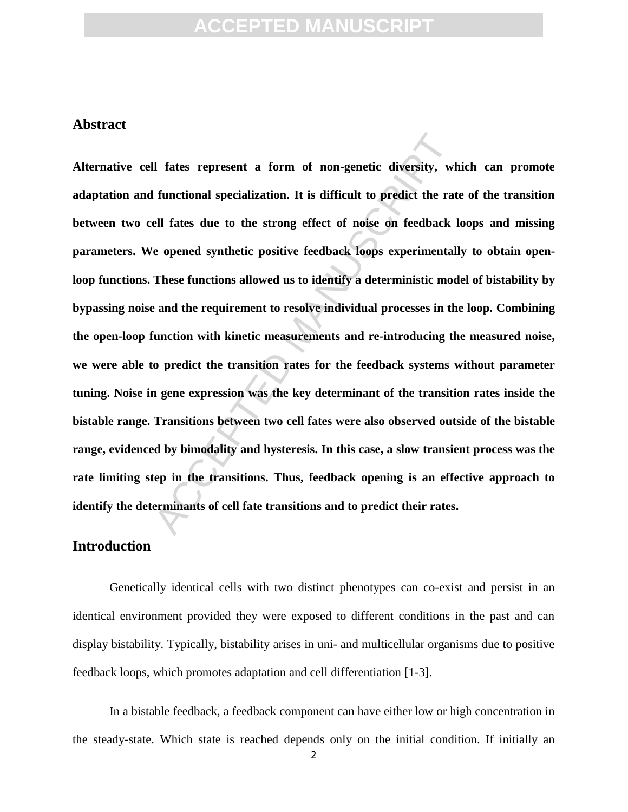#### **Abstract**

Il fates represent a form of non-genetic diversity, wh<br>functional specialization. It is difficult to predict the rat<br>ell fates due to the strong effect of noise on feedback le<br>pened synthetic positive feedback loops experi **Alternative cell fates represent a form of non-genetic diversity, which can promote adaptation and functional specialization. It is difficult to predict the rate of the transition between two cell fates due to the strong effect of noise on feedback loops and missing parameters. We opened synthetic positive feedback loops experimentally to obtain openloop functions. These functions allowed us to identify a deterministic model of bistability by bypassing noise and the requirement to resolve individual processes in the loop. Combining the open-loop function with kinetic measurements and re-introducing the measured noise, we were able to predict the transition rates for the feedback systems without parameter tuning. Noise in gene expression was the key determinant of the transition rates inside the bistable range. Transitions between two cell fates were also observed outside of the bistable range, evidenced by bimodality and hysteresis. In this case, a slow transient process was the rate limiting step in the transitions. Thus, feedback opening is an effective approach to identify the determinants of cell fate transitions and to predict their rates.**

#### **Introduction**

 Genetically identical cells with two distinct phenotypes can co-exist and persist in an identical environment provided they were exposed to different conditions in the past and can display bistability. Typically, bistability arises in uni- and multicellular organisms due to positive feedback loops, which promotes adaptation and cell differentiation [1-3].

 In a bistable feedback, a feedback component can have either low or high concentration in the steady-state. Which state is reached depends only on the initial condition. If initially an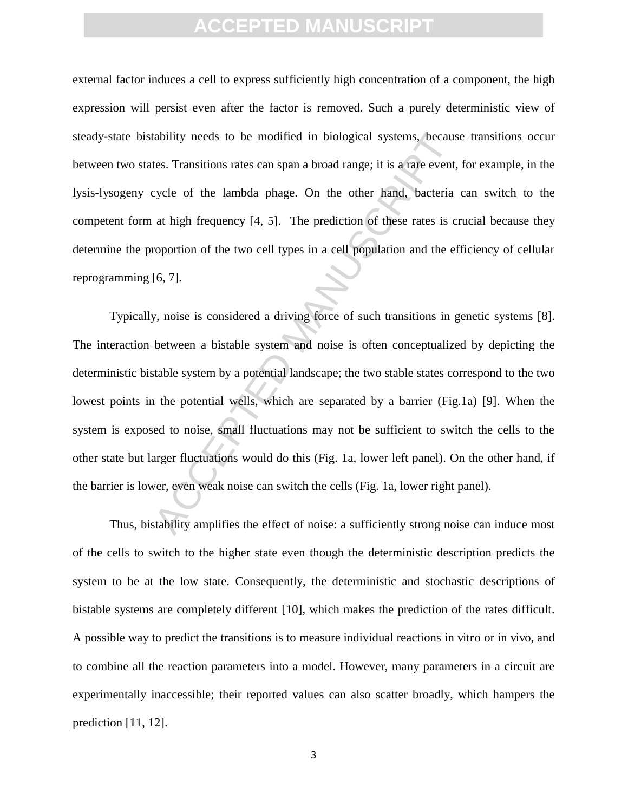external factor induces a cell to express sufficiently high concentration of a component, the high expression will persist even after the factor is removed. Such a purely deterministic view of steady-state bistability needs to be modified in biological systems, because transitions occur between two states. Transitions rates can span a broad range; it is a rare event, for example, in the lysis-lysogeny cycle of the lambda phage. On the other hand, bacteria can switch to the competent form at high frequency [4, 5]. The prediction of these rates is crucial because they determine the proportion of the two cell types in a cell population and the efficiency of cellular reprogramming [6, 7].

ability needs to be modified in biological systems, becaustes. Transitions rates can span a broad range; it is a rare event, eycle of the lambda phage. On the other hand, bacteria at high frequency [4, 5]. The prediction o Typically, noise is considered a driving force of such transitions in genetic systems [8]. The interaction between a bistable system and noise is often conceptualized by depicting the deterministic bistable system by a potential landscape; the two stable states correspond to the two lowest points in the potential wells, which are separated by a barrier (Fig.1a) [9]. When the system is exposed to noise, small fluctuations may not be sufficient to switch the cells to the other state but larger fluctuations would do this (Fig. 1a, lower left panel). On the other hand, if the barrier is lower, even weak noise can switch the cells (Fig. 1a, lower right panel).

 Thus, bistability amplifies the effect of noise: a sufficiently strong noise can induce most of the cells to switch to the higher state even though the deterministic description predicts the system to be at the low state. Consequently, the deterministic and stochastic descriptions of bistable systems are completely different [10], which makes the prediction of the rates difficult. A possible way to predict the transitions is to measure individual reactions in vitro or in vivo, and to combine all the reaction parameters into a model. However, many parameters in a circuit are experimentally inaccessible; their reported values can also scatter broadly, which hampers the prediction [11, 12].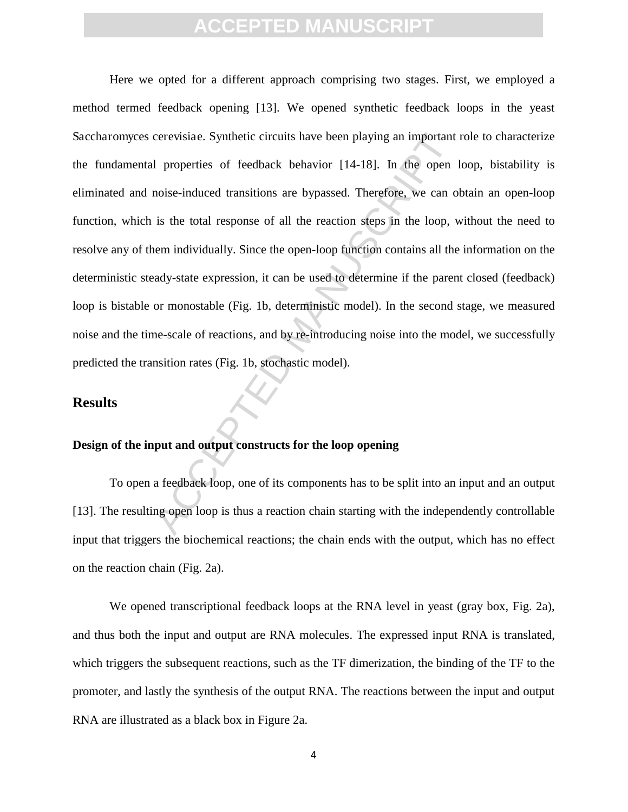cerevisiae. Synthetic circuits have been playing an important<br>1 properties of feedback behavior [14-18]. In the open<br>noise-induced transitions are bypassed. Therefore, we can o<br>is the total response of all the reaction ste Here we opted for a different approach comprising two stages. First, we employed a method termed feedback opening [13]. We opened synthetic feedback loops in the yeast Saccharomyces cerevisiae. Synthetic circuits have been playing an important role to characterize the fundamental properties of feedback behavior [14-18]. In the open loop, bistability is eliminated and noise-induced transitions are bypassed. Therefore, we can obtain an open-loop function, which is the total response of all the reaction steps in the loop, without the need to resolve any of them individually. Since the open-loop function contains all the information on the deterministic steady-state expression, it can be used to determine if the parent closed (feedback) loop is bistable or monostable (Fig. 1b, deterministic model). In the second stage, we measured noise and the time-scale of reactions, and by re-introducing noise into the model, we successfully predicted the transition rates (Fig. 1b, stochastic model).

#### **Results**

#### **Design of the input and output constructs for the loop opening**

 To open a feedback loop, one of its components has to be split into an input and an output [13]. The resulting open loop is thus a reaction chain starting with the independently controllable input that triggers the biochemical reactions; the chain ends with the output, which has no effect on the reaction chain (Fig. 2a).

 We opened transcriptional feedback loops at the RNA level in yeast (gray box, Fig. 2a), and thus both the input and output are RNA molecules. The expressed input RNA is translated, which triggers the subsequent reactions, such as the TF dimerization, the binding of the TF to the promoter, and lastly the synthesis of the output RNA. The reactions between the input and output RNA are illustrated as a black box in Figure 2a.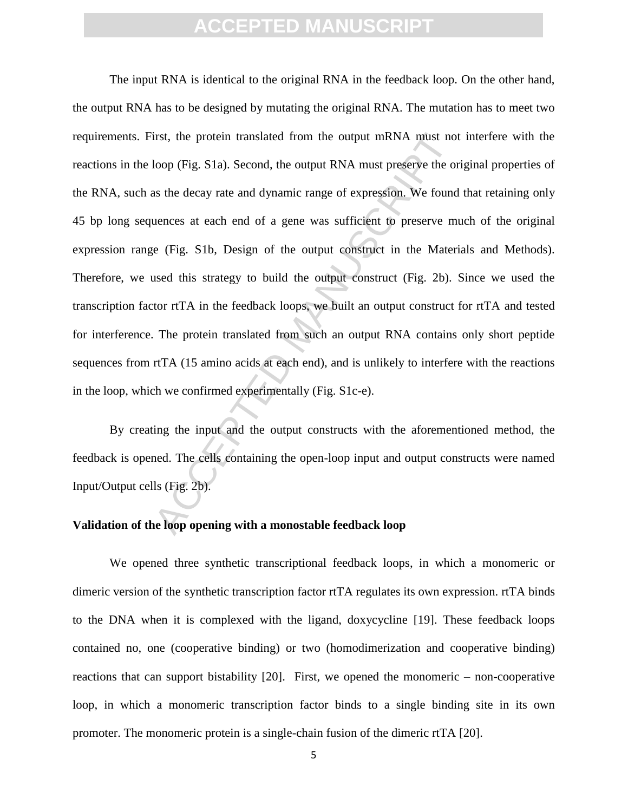irst, the protein translated from the output mRNA must no<br>loop (Fig. S1a). Second, the output RNA must preserve the or<br>as the decay rate and dynamic range of expression. We found<br>uences at each end of a gene was sufficient The input RNA is identical to the original RNA in the feedback loop. On the other hand, the output RNA has to be designed by mutating the original RNA. The mutation has to meet two requirements. First, the protein translated from the output mRNA must not interfere with the reactions in the loop (Fig. S1a). Second, the output RNA must preserve the original properties of the RNA, such as the decay rate and dynamic range of expression. We found that retaining only 45 bp long sequences at each end of a gene was sufficient to preserve much of the original expression range (Fig. S1b, Design of the output construct in the Materials and Methods). Therefore, we used this strategy to build the output construct (Fig. 2b). Since we used the transcription factor rtTA in the feedback loops, we built an output construct for rtTA and tested for interference. The protein translated from such an output RNA contains only short peptide sequences from rtTA (15 amino acids at each end), and is unlikely to interfere with the reactions in the loop, which we confirmed experimentally (Fig. S1c-e).

By creating the input and the output constructs with the aforementioned method, the feedback is opened. The cells containing the open-loop input and output constructs were named Input/Output cells (Fig. 2b).

#### **Validation of the loop opening with a monostable feedback loop**

 We opened three synthetic transcriptional feedback loops, in which a monomeric or dimeric version of the synthetic transcription factor rtTA regulates its own expression. rtTA binds to the DNA when it is complexed with the ligand, doxycycline [19]. These feedback loops contained no, one (cooperative binding) or two (homodimerization and cooperative binding) reactions that can support bistability [20]. First, we opened the monomeric – non-cooperative loop, in which a monomeric transcription factor binds to a single binding site in its own promoter. The monomeric protein is a single-chain fusion of the dimeric rtTA [20].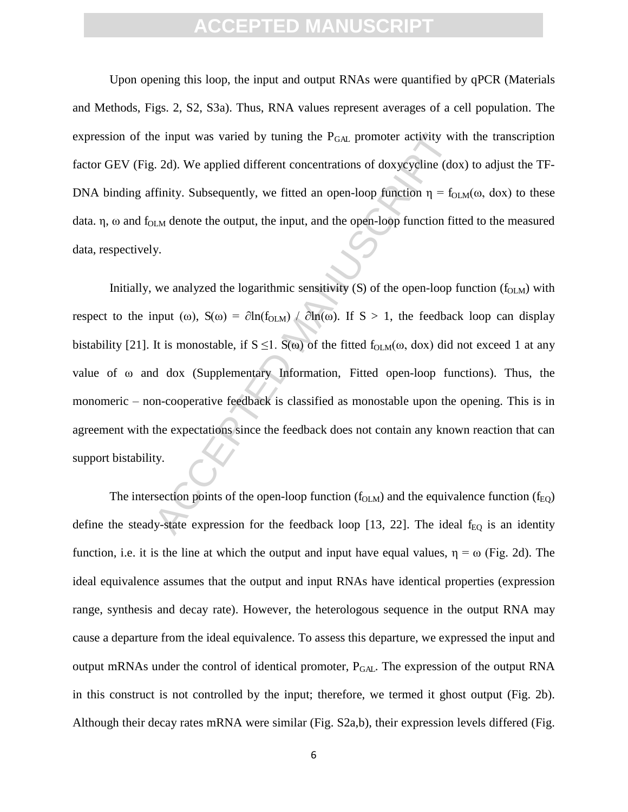Upon opening this loop, the input and output RNAs were quantified by qPCR (Materials and Methods, Figs. 2, S2, S3a). Thus, RNA values represent averages of a cell population. The expression of the input was varied by tuning the  $P<sub>GAL</sub>$  promoter activity with the transcription factor GEV (Fig. 2d). We applied different concentrations of doxycycline (dox) to adjust the TF-DNA binding affinity. Subsequently, we fitted an open-loop function  $\eta = f_{OLM}(\omega, d\alpha x)$  to these data.  $\eta$ ,  $\omega$  and f<sub>OLM</sub> denote the output, the input, and the open-loop function fitted to the measured data, respectively.

is input was varied by tuning the  $P_{GAL}$  promoter activity witchtand and the contractions of doxycycline (do finity. Subsequently, we fitted an open-loop function  $\eta = f_0$  in denote the output, the input, and the open-lo Initially, we analyzed the logarithmic sensitivity  $(S)$  of the open-loop function  $(f_{OLM})$  with respect to the input ( $\omega$ ), S( $\omega$ ) =  $\partial \ln(f_{\text{OLM}}) / \partial \ln(\omega)$ . If S > 1, the feedback loop can display bistability [21]. It is monostable, if  $S \le 1$ .  $S(\omega)$  of the fitted f<sub>OLM</sub>( $\omega$ , dox) did not exceed 1 at any value of  $\omega$  and dox (Supplementary Information, Fitted open-loop functions). Thus, the monomeric – non-cooperative feedback is classified as monostable upon the opening. This is in agreement with the expectations since the feedback does not contain any known reaction that can support bistability.

The intersection points of the open-loop function  $(f_{\text{OLM}})$  and the equivalence function  $(f_{\text{EO}})$ define the steady-state expression for the feedback loop [13, 22]. The ideal  $f_{EQ}$  is an identity function, i.e. it is the line at which the output and input have equal values,  $\eta = \omega$  (Fig. 2d). The ideal equivalence assumes that the output and input RNAs have identical properties (expression range, synthesis and decay rate). However, the heterologous sequence in the output RNA may cause a departure from the ideal equivalence. To assess this departure, we expressed the input and output mRNAs under the control of identical promoter,  $P_{GAL}$ . The expression of the output RNA in this construct is not controlled by the input; therefore, we termed it ghost output (Fig. 2b). Although their decay rates mRNA were similar (Fig. S2a,b), their expression levels differed (Fig.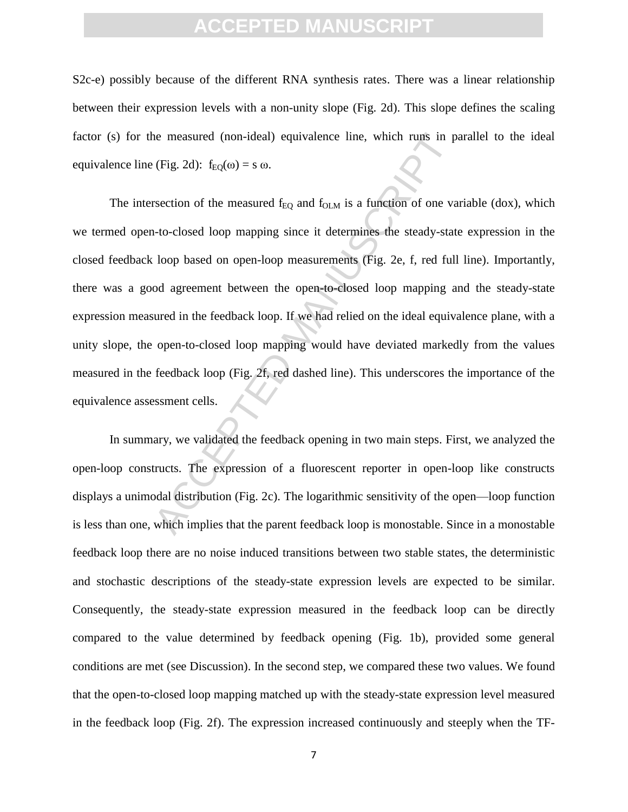S2c-e) possibly because of the different RNA synthesis rates. There was a linear relationship between their expression levels with a non-unity slope (Fig. 2d). This slope defines the scaling factor (s) for the measured (non-ideal) equivalence line, which runs in parallel to the ideal equivalence line (Fig. 2d):  $f_{E\Omega}(\omega) = s \omega$ .

the measured (non-ideal) equivalence line, which runs in p<br>
(Fig. 2d):  $f_{EQ}(ω) = s ω$ .<br>
rsection of the measured  $f_{EQ}$  and  $f_{OLM}$  is a function of one va<br>
1-to-closed loop mapping since it determines the steady-stat<br>
loo The intersection of the measured  $f_{EQ}$  and  $f_{OLM}$  is a function of one variable (dox), which we termed open-to-closed loop mapping since it determines the steady-state expression in the closed feedback loop based on open-loop measurements (Fig. 2e, f, red full line). Importantly, there was a good agreement between the open-to-closed loop mapping and the steady-state expression measured in the feedback loop. If we had relied on the ideal equivalence plane, with a unity slope, the open-to-closed loop mapping would have deviated markedly from the values measured in the feedback loop (Fig. 2f, red dashed line). This underscores the importance of the equivalence assessment cells.

In summary, we validated the feedback opening in two main steps. First, we analyzed the open-loop constructs. The expression of a fluorescent reporter in open-loop like constructs displays a unimodal distribution (Fig. 2c). The logarithmic sensitivity of the open—loop function is less than one, which implies that the parent feedback loop is monostable. Since in a monostable feedback loop there are no noise induced transitions between two stable states, the deterministic and stochastic descriptions of the steady-state expression levels are expected to be similar. Consequently, the steady-state expression measured in the feedback loop can be directly compared to the value determined by feedback opening (Fig. 1b), provided some general conditions are met (see Discussion). In the second step, we compared these two values. We found that the open-to-closed loop mapping matched up with the steady-state expression level measured in the feedback loop (Fig. 2f). The expression increased continuously and steeply when the TF-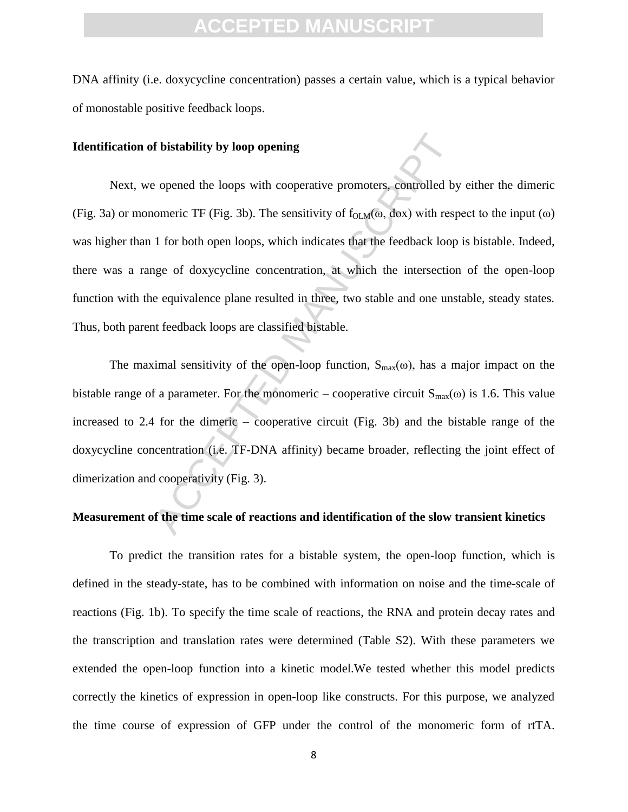DNA affinity (i.e. doxycycline concentration) passes a certain value, which is a typical behavior of monostable positive feedback loops.

#### **Identification of bistability by loop opening**

**f bistability by loop opening**<br>
e opened the loops with cooperative promoters, controlled by<br>
omeric TF (Fig. 3b). The sensitivity of  $f_{OLM}(\omega, dox)$  with rest<br>
1 for both open loops, which indicates that the feedback loop Next, we opened the loops with cooperative promoters, controlled by either the dimeric (Fig. 3a) or monomeric TF (Fig. 3b). The sensitivity of  $f_{OLM}(\omega, d\alpha x)$  with respect to the input  $(\omega)$ was higher than 1 for both open loops, which indicates that the feedback loop is bistable. Indeed, there was a range of doxycycline concentration, at which the intersection of the open-loop function with the equivalence plane resulted in three, two stable and one unstable, steady states. Thus, both parent feedback loops are classified bistable.

The maximal sensitivity of the open-loop function,  $S_{max}(\omega)$ , has a major impact on the bistable range of a parameter. For the monomeric – cooperative circuit  $S_{\text{max}}(\omega)$  is 1.6. This value increased to 2.4 for the dimeric – cooperative circuit (Fig. 3b) and the bistable range of the doxycycline concentration (i.e. TF-DNA affinity) became broader, reflecting the joint effect of dimerization and cooperativity (Fig. 3).

#### **Measurement of the time scale of reactions and identification of the slow transient kinetics**

 To predict the transition rates for a bistable system, the open-loop function, which is defined in the steady-state, has to be combined with information on noise and the time-scale of reactions (Fig. 1b). To specify the time scale of reactions, the RNA and protein decay rates and the transcription and translation rates were determined (Table S2). With these parameters we extended the open-loop function into a kinetic model.We tested whether this model predicts correctly the kinetics of expression in open-loop like constructs. For this purpose, we analyzed the time course of expression of GFP under the control of the monomeric form of rtTA.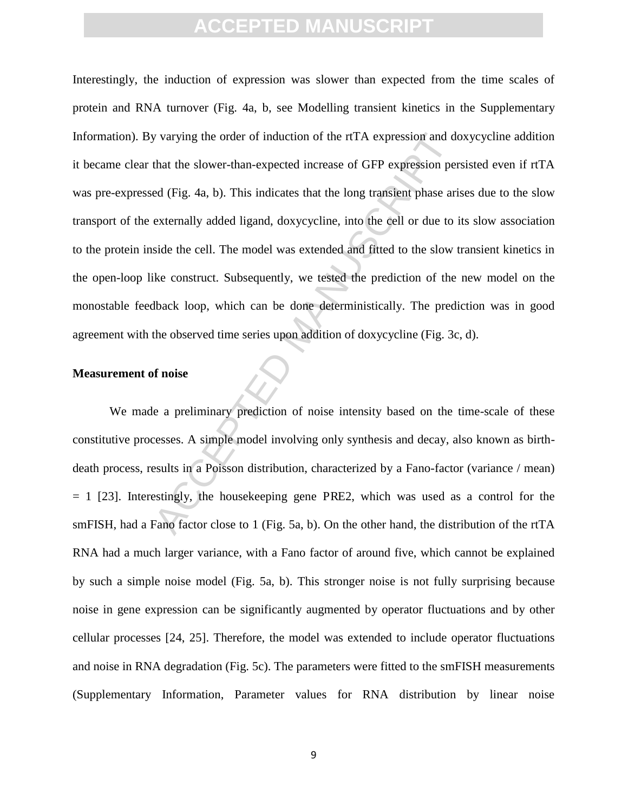y varying the order of induction of the rtTA expression and d<br>that the slower-than-expected increase of GFP expression per<br>ed (Fig. 4a, b). This indicates that the long transient phase are<br>externally added ligand, doxycycl Interestingly, the induction of expression was slower than expected from the time scales of protein and RNA turnover (Fig. 4a, b, see Modelling transient kinetics in the Supplementary Information). By varying the order of induction of the rtTA expression and doxycycline addition it became clear that the slower-than-expected increase of GFP expression persisted even if rtTA was pre-expressed (Fig. 4a, b). This indicates that the long transient phase arises due to the slow transport of the externally added ligand, doxycycline, into the cell or due to its slow association to the protein inside the cell. The model was extended and fitted to the slow transient kinetics in the open-loop like construct. Subsequently, we tested the prediction of the new model on the monostable feedback loop, which can be done deterministically. The prediction was in good agreement with the observed time series upon addition of doxycycline (Fig. 3c, d).

#### **Measurement of noise**

 We made a preliminary prediction of noise intensity based on the time-scale of these constitutive processes. A simple model involving only synthesis and decay, also known as birthdeath process, results in a Poisson distribution, characterized by a Fano-factor (variance / mean)  $= 1$  [23]. Interestingly, the housekeeping gene PRE2, which was used as a control for the smFISH, had a Fano factor close to 1 (Fig. 5a, b). On the other hand, the distribution of the rtTA RNA had a much larger variance, with a Fano factor of around five, which cannot be explained by such a simple noise model (Fig. 5a, b). This stronger noise is not fully surprising because noise in gene expression can be significantly augmented by operator fluctuations and by other cellular processes [24, 25]. Therefore, the model was extended to include operator fluctuations and noise in RNA degradation (Fig. 5c). The parameters were fitted to the smFISH measurements (Supplementary Information, Parameter values for RNA distribution by linear noise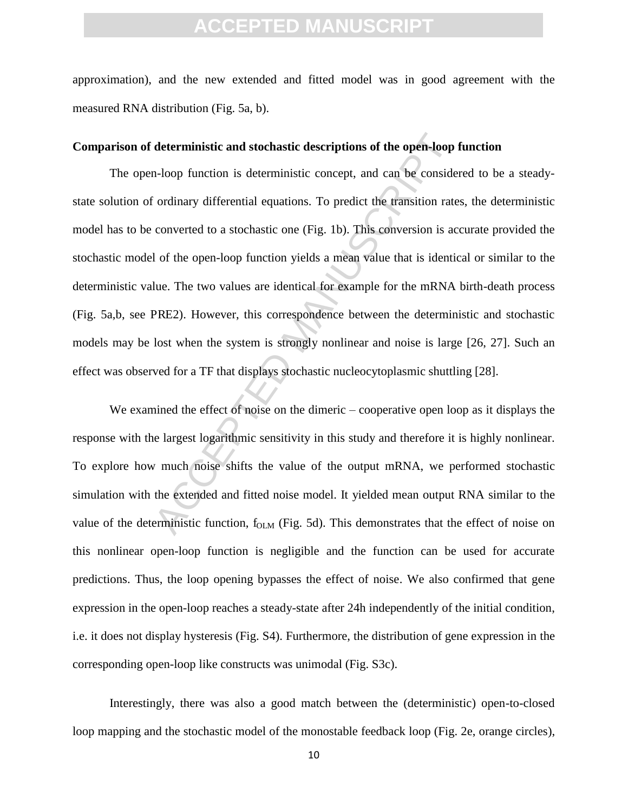approximation), and the new extended and fitted model was in good agreement with the measured RNA distribution (Fig. 5a, b).

#### **Comparison of deterministic and stochastic descriptions of the open-loop function**

deterministic and stochastic descriptions of the open-loop<br>n-loop function is deterministic concept, and can be considered to a stochastic equations. To predict the transition rate<br>converted to a stochastic one (Fig. 1b). The open-loop function is deterministic concept, and can be considered to be a steadystate solution of ordinary differential equations. To predict the transition rates, the deterministic model has to be converted to a stochastic one (Fig. 1b). This conversion is accurate provided the stochastic model of the open-loop function yields a mean value that is identical or similar to the deterministic value. The two values are identical for example for the mRNA birth-death process (Fig. 5a,b, see PRE2). However, this correspondence between the deterministic and stochastic models may be lost when the system is strongly nonlinear and noise is large [26, 27]. Such an effect was observed for a TF that displays stochastic nucleocytoplasmic shuttling [28].

We examined the effect of noise on the dimeric – cooperative open loop as it displays the response with the largest logarithmic sensitivity in this study and therefore it is highly nonlinear. To explore how much noise shifts the value of the output mRNA, we performed stochastic simulation with the extended and fitted noise model. It yielded mean output RNA similar to the value of the deterministic function,  $f_{OLM}$  (Fig. 5d). This demonstrates that the effect of noise on this nonlinear open-loop function is negligible and the function can be used for accurate predictions. Thus, the loop opening bypasses the effect of noise. We also confirmed that gene expression in the open-loop reaches a steady-state after 24h independently of the initial condition, i.e. it does not display hysteresis (Fig. S4). Furthermore, the distribution of gene expression in the corresponding open-loop like constructs was unimodal (Fig. S3c).

 Interestingly, there was also a good match between the (deterministic) open-to-closed loop mapping and the stochastic model of the monostable feedback loop (Fig. 2e, orange circles),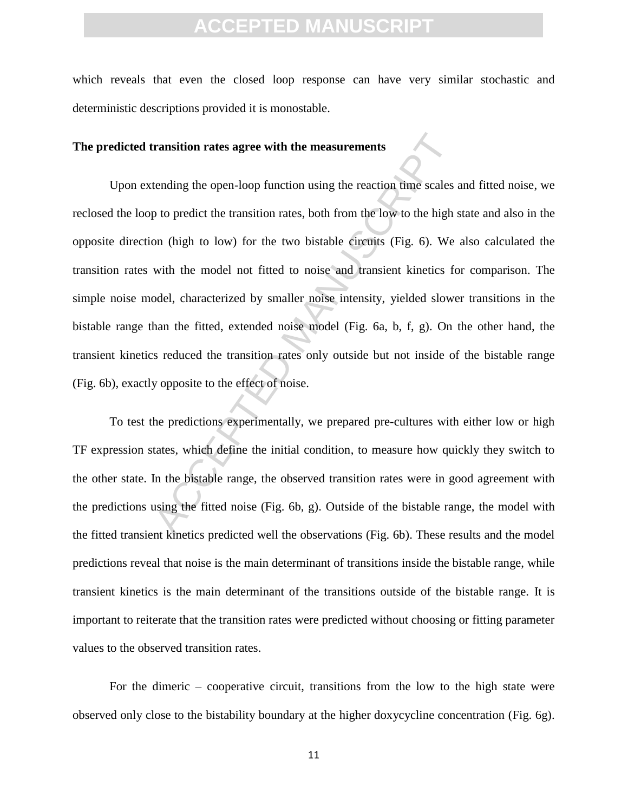which reveals that even the closed loop response can have very similar stochastic and deterministic descriptions provided it is monostable.

#### **The predicted transition rates agree with the measurements**

ransition rates agree with the measurements<br>tending the open-loop function using the reaction time scales<br>p to predict the transition rates, both from the low to the high<br>on (high to low) for the two bistable circuits (Fig Upon extending the open-loop function using the reaction time scales and fitted noise, we reclosed the loop to predict the transition rates, both from the low to the high state and also in the opposite direction (high to low) for the two bistable circuits (Fig. 6). We also calculated the transition rates with the model not fitted to noise and transient kinetics for comparison. The simple noise model, characterized by smaller noise intensity, yielded slower transitions in the bistable range than the fitted, extended noise model (Fig. 6a, b, f, g). On the other hand, the transient kinetics reduced the transition rates only outside but not inside of the bistable range (Fig. 6b), exactly opposite to the effect of noise.

 To test the predictions experimentally, we prepared pre-cultures with either low or high TF expression states, which define the initial condition, to measure how quickly they switch to the other state. In the bistable range, the observed transition rates were in good agreement with the predictions using the fitted noise (Fig. 6b, g). Outside of the bistable range, the model with the fitted transient kinetics predicted well the observations (Fig. 6b). These results and the model predictions reveal that noise is the main determinant of transitions inside the bistable range, while transient kinetics is the main determinant of the transitions outside of the bistable range. It is important to reiterate that the transition rates were predicted without choosing or fitting parameter values to the observed transition rates.

 For the dimeric – cooperative circuit, transitions from the low to the high state were observed only close to the bistability boundary at the higher doxycycline concentration (Fig. 6g).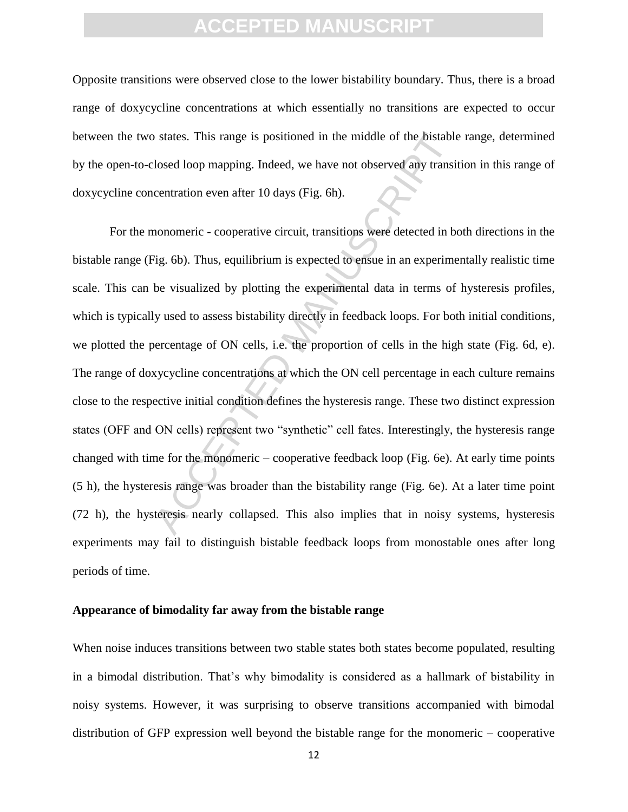Opposite transitions were observed close to the lower bistability boundary. Thus, there is a broad range of doxycycline concentrations at which essentially no transitions are expected to occur between the two states. This range is positioned in the middle of the bistable range, determined by the open-to-closed loop mapping. Indeed, we have not observed any transition in this range of doxycycline concentration even after 10 days (Fig. 6h).

states. This range is positioned in the middle of the bistable<br>losed loop mapping. Indeed, we have not observed any transi<br>centration even after 10 days (Fig. 6h).<br>monomeric - cooperative circuit, transitions were detected For the monomeric - cooperative circuit, transitions were detected in both directions in the bistable range (Fig. 6b). Thus, equilibrium is expected to ensue in an experimentally realistic time scale. This can be visualized by plotting the experimental data in terms of hysteresis profiles, which is typically used to assess bistability directly in feedback loops. For both initial conditions, we plotted the percentage of ON cells, i.e. the proportion of cells in the high state (Fig. 6d, e). The range of doxycycline concentrations at which the ON cell percentage in each culture remains close to the respective initial condition defines the hysteresis range. These two distinct expression states (OFF and ON cells) represent two "synthetic" cell fates. Interestingly, the hysteresis range changed with time for the monomeric – cooperative feedback loop (Fig. 6e). At early time points (5 h), the hysteresis range was broader than the bistability range (Fig. 6e). At a later time point (72 h), the hysteresis nearly collapsed. This also implies that in noisy systems, hysteresis experiments may fail to distinguish bistable feedback loops from monostable ones after long periods of time.

#### **Appearance of bimodality far away from the bistable range**

When noise induces transitions between two stable states both states become populated, resulting in a bimodal distribution. That's why bimodality is considered as a hallmark of bistability in noisy systems. However, it was surprising to observe transitions accompanied with bimodal distribution of GFP expression well beyond the bistable range for the monomeric – cooperative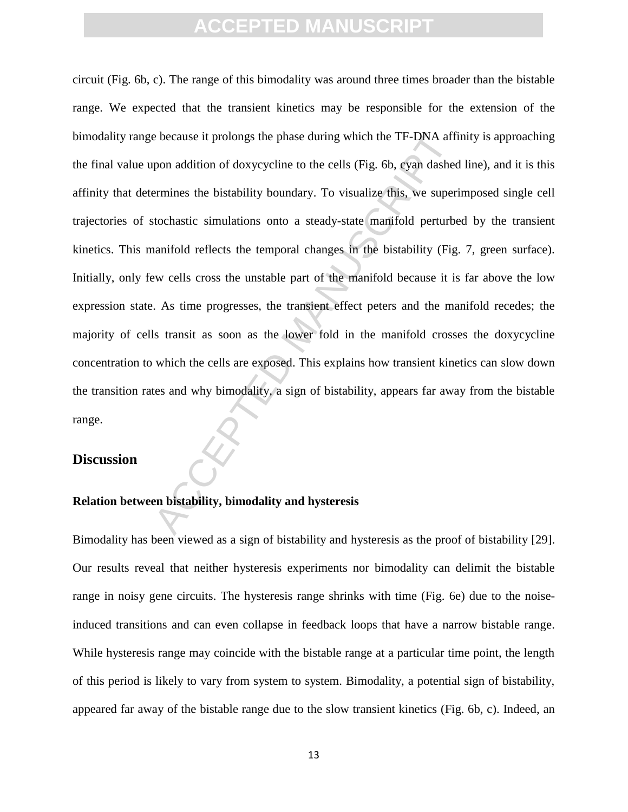because it prolongs the phase during which the TF-DNA aff<br>pon addition of doxycycline to the cells (Fig. 6b, cyan dasheer<br>ermines the bistability boundary. To visualize this, we super-<br>tochastic simulations onto a steady-s circuit (Fig. 6b, c). The range of this bimodality was around three times broader than the bistable range. We expected that the transient kinetics may be responsible for the extension of the bimodality range because it prolongs the phase during which the TF-DNA affinity is approaching the final value upon addition of doxycycline to the cells (Fig. 6b, cyan dashed line), and it is this affinity that determines the bistability boundary. To visualize this, we superimposed single cell trajectories of stochastic simulations onto a steady-state manifold perturbed by the transient kinetics. This manifold reflects the temporal changes in the bistability (Fig. 7, green surface). Initially, only few cells cross the unstable part of the manifold because it is far above the low expression state. As time progresses, the transient effect peters and the manifold recedes; the majority of cells transit as soon as the lower fold in the manifold crosses the doxycycline concentration to which the cells are exposed. This explains how transient kinetics can slow down the transition rates and why bimodality, a sign of bistability, appears far away from the bistable range.

#### **Discussion**

#### **Relation between bistability, bimodality and hysteresis**

Bimodality has been viewed as a sign of bistability and hysteresis as the proof of bistability [29]. Our results reveal that neither hysteresis experiments nor bimodality can delimit the bistable range in noisy gene circuits. The hysteresis range shrinks with time (Fig. 6e) due to the noiseinduced transitions and can even collapse in feedback loops that have a narrow bistable range. While hysteresis range may coincide with the bistable range at a particular time point, the length of this period is likely to vary from system to system. Bimodality, a potential sign of bistability, appeared far away of the bistable range due to the slow transient kinetics (Fig. 6b, c). Indeed, an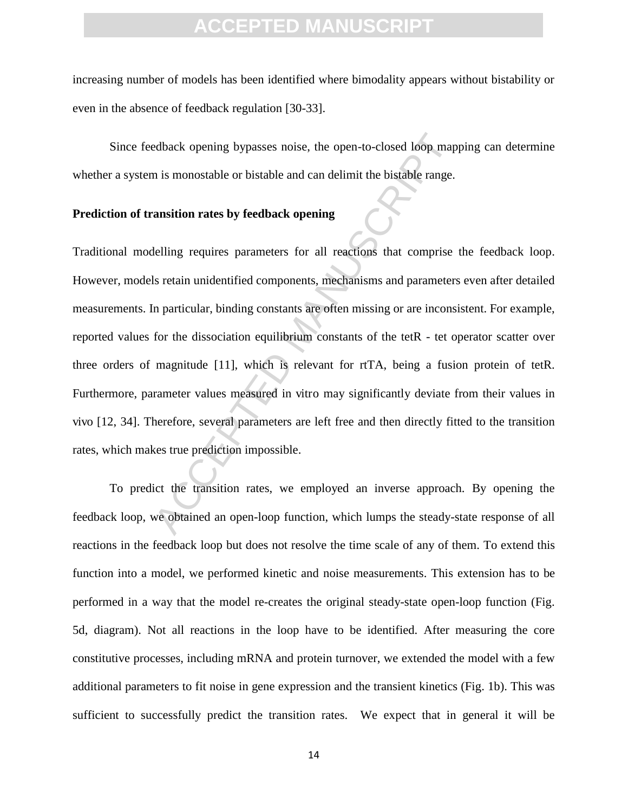increasing number of models has been identified where bimodality appears without bistability or even in the absence of feedback regulation [30-33].

 Since feedback opening bypasses noise, the open-to-closed loop mapping can determine whether a system is monostable or bistable and can delimit the bistable range.

#### **Prediction of transition rates by feedback opening**

edback opening bypasses noise, the open-to-closed loop map<br>n is monostable or bistable and can delimit the bistable range.<br>**ansition rates by feedback opening**<br>lelling requires parameters for all reactions that comprise<br>ls Traditional modelling requires parameters for all reactions that comprise the feedback loop. However, models retain unidentified components, mechanisms and parameters even after detailed measurements. In particular, binding constants are often missing or are inconsistent. For example, reported values for the dissociation equilibrium constants of the tetR - tet operator scatter over three orders of magnitude [11], which is relevant for rtTA, being a fusion protein of tetR. Furthermore, parameter values measured in vitro may significantly deviate from their values in vivo [12, 34]. Therefore, several parameters are left free and then directly fitted to the transition rates, which makes true prediction impossible.

 To predict the transition rates, we employed an inverse approach. By opening the feedback loop, we obtained an open-loop function, which lumps the steady-state response of all reactions in the feedback loop but does not resolve the time scale of any of them. To extend this function into a model, we performed kinetic and noise measurements. This extension has to be performed in a way that the model re-creates the original steady-state open-loop function (Fig. 5d, diagram). Not all reactions in the loop have to be identified. After measuring the core constitutive processes, including mRNA and protein turnover, we extended the model with a few additional parameters to fit noise in gene expression and the transient kinetics (Fig. 1b). This was sufficient to successfully predict the transition rates. We expect that in general it will be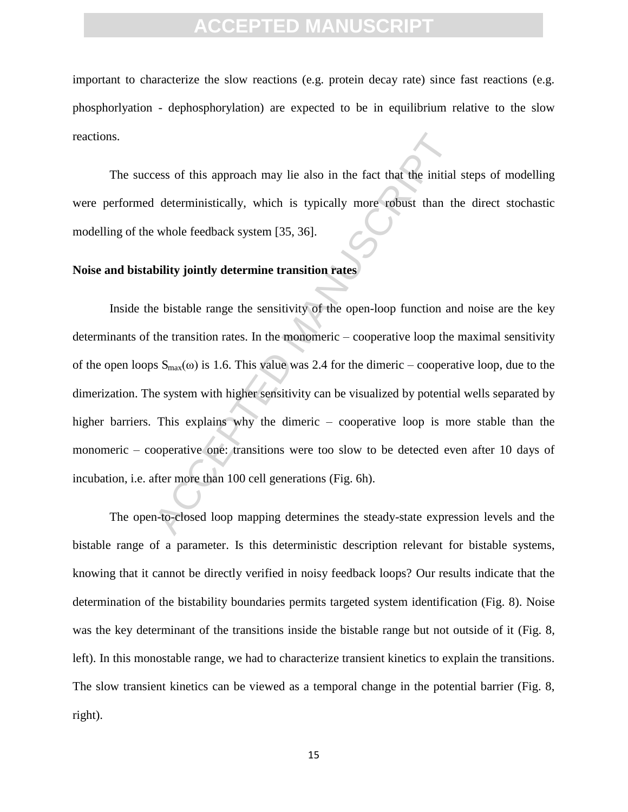important to characterize the slow reactions (e.g. protein decay rate) since fast reactions (e.g. phosphorlyation - dephosphorylation) are expected to be in equilibrium relative to the slow reactions.

 The success of this approach may lie also in the fact that the initial steps of modelling were performed deterministically, which is typically more robust than the direct stochastic modelling of the whole feedback system [35, 36].

#### **Noise and bistability jointly determine transition rates**

ress of this approach may lie also in the fact that the initial<br>
I deterministically, which is typically more robust than the<br>
whole feedback system [35, 36].<br>
bility jointly determine transition rates<br>
e bistable range t Inside the bistable range the sensitivity of the open-loop function and noise are the key determinants of the transition rates. In the monomeric – cooperative loop the maximal sensitivity of the open loops  $S_{max}(\omega)$  is 1.6. This value was 2.4 for the dimeric – cooperative loop, due to the dimerization. The system with higher sensitivity can be visualized by potential wells separated by higher barriers. This explains why the dimeric – cooperative loop is more stable than the monomeric – cooperative one: transitions were too slow to be detected even after 10 days of incubation, i.e. after more than 100 cell generations (Fig. 6h).

 The open-to-closed loop mapping determines the steady-state expression levels and the bistable range of a parameter. Is this deterministic description relevant for bistable systems, knowing that it cannot be directly verified in noisy feedback loops? Our results indicate that the determination of the bistability boundaries permits targeted system identification (Fig. 8). Noise was the key determinant of the transitions inside the bistable range but not outside of it (Fig. 8, left). In this monostable range, we had to characterize transient kinetics to explain the transitions. The slow transient kinetics can be viewed as a temporal change in the potential barrier (Fig. 8, right).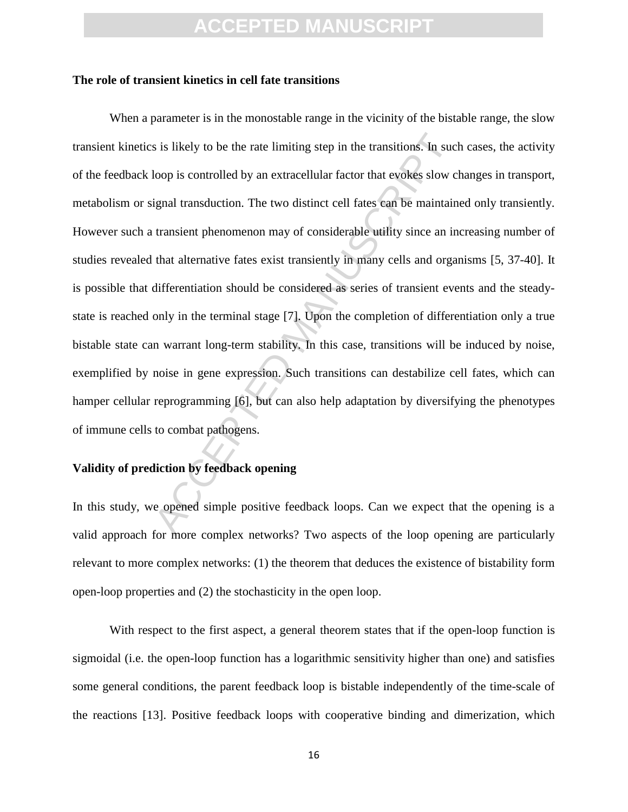#### **The role of transient kinetics in cell fate transitions**

is is likely to be the rate limiting step in the transitions. In sucloop is controlled by an extracellular factor that evokes slow c<br>ignal transduction. The two distinct cell fates can be maintain<br>transient phenomenon may When a parameter is in the monostable range in the vicinity of the bistable range, the slow transient kinetics is likely to be the rate limiting step in the transitions. In such cases, the activity of the feedback loop is controlled by an extracellular factor that evokes slow changes in transport, metabolism or signal transduction. The two distinct cell fates can be maintained only transiently. However such a transient phenomenon may of considerable utility since an increasing number of studies revealed that alternative fates exist transiently in many cells and organisms [5, 37-40]. It is possible that differentiation should be considered as series of transient events and the steadystate is reached only in the terminal stage [7]. Upon the completion of differentiation only a true bistable state can warrant long-term stability. In this case, transitions will be induced by noise, exemplified by noise in gene expression. Such transitions can destabilize cell fates, which can hamper cellular reprogramming [6], but can also help adaptation by diversifying the phenotypes of immune cells to combat pathogens.

#### **Validity of prediction by feedback opening**

In this study, we opened simple positive feedback loops. Can we expect that the opening is a valid approach for more complex networks? Two aspects of the loop opening are particularly relevant to more complex networks: (1) the theorem that deduces the existence of bistability form open-loop properties and (2) the stochasticity in the open loop.

 With respect to the first aspect, a general theorem states that if the open-loop function is sigmoidal (i.e. the open-loop function has a logarithmic sensitivity higher than one) and satisfies some general conditions, the parent feedback loop is bistable independently of the time-scale of the reactions [13]. Positive feedback loops with cooperative binding and dimerization, which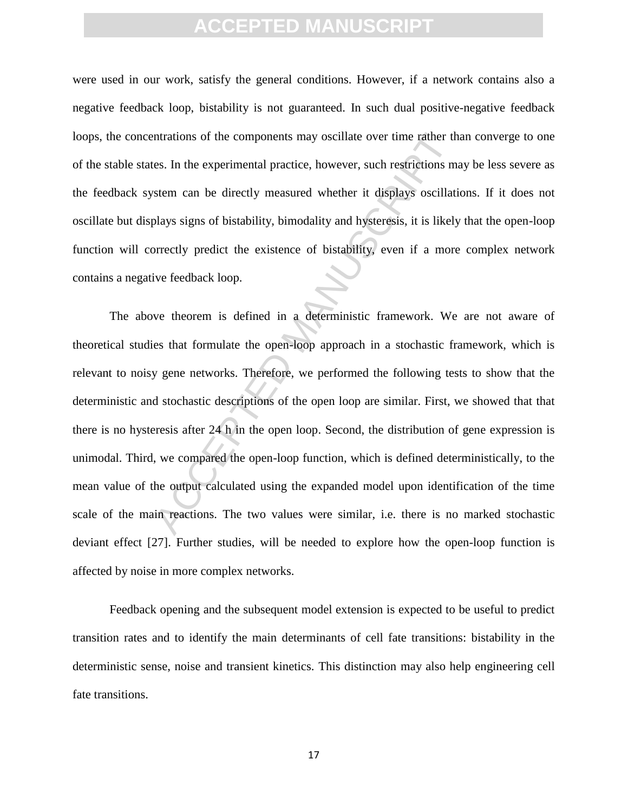were used in our work, satisfy the general conditions. However, if a network contains also a negative feedback loop, bistability is not guaranteed. In such dual positive-negative feedback loops, the concentrations of the components may oscillate over time rather than converge to one of the stable states. In the experimental practice, however, such restrictions may be less severe as the feedback system can be directly measured whether it displays oscillations. If it does not oscillate but displays signs of bistability, bimodality and hysteresis, it is likely that the open-loop function will correctly predict the existence of bistability, even if a more complex network contains a negative feedback loop.

ntrations of the components may oscillate over time rather threads.<br>In the experimental practice, however, such restrictions m<br>stem can be directly measured whether it displays oscillations<br>plays signs of bistability, bimo The above theorem is defined in a deterministic framework. We are not aware of theoretical studies that formulate the open-loop approach in a stochastic framework, which is relevant to noisy gene networks. Therefore, we performed the following tests to show that the deterministic and stochastic descriptions of the open loop are similar. First, we showed that that there is no hysteresis after 24 h in the open loop. Second, the distribution of gene expression is unimodal. Third, we compared the open-loop function, which is defined deterministically, to the mean value of the output calculated using the expanded model upon identification of the time scale of the main reactions. The two values were similar, i.e. there is no marked stochastic deviant effect [27]. Further studies, will be needed to explore how the open-loop function is affected by noise in more complex networks.

 Feedback opening and the subsequent model extension is expected to be useful to predict transition rates and to identify the main determinants of cell fate transitions: bistability in the deterministic sense, noise and transient kinetics. This distinction may also help engineering cell fate transitions.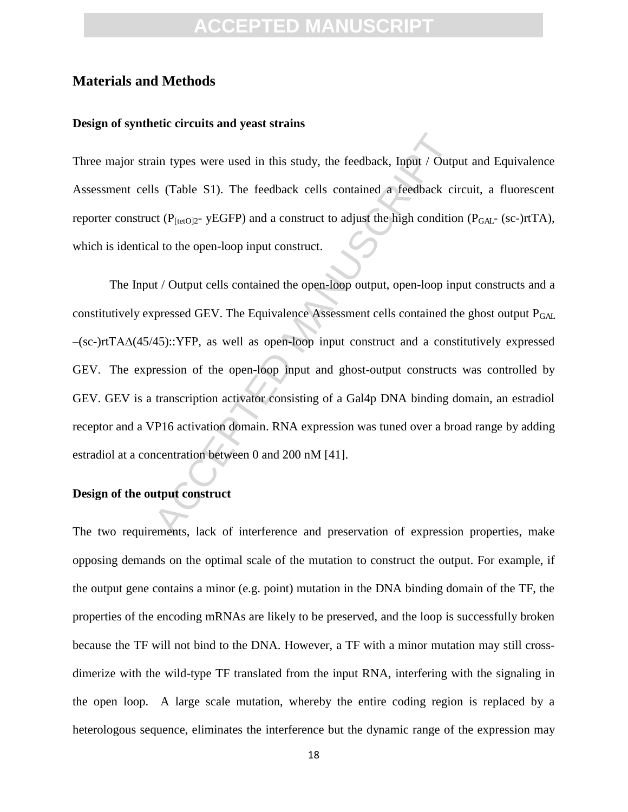### **CCEPTED MANUS**

#### **Materials and Methods**

#### **Design of synthetic circuits and yeast strains**

Three major strain types were used in this study, the feedback, Input / Output and Equivalence Assessment cells (Table S1). The feedback cells contained a feedback circuit, a fluorescent reporter construct ( $P_{[tetO]2}$ - yEGFP) and a construct to adjust the high condition ( $P_{GAL}$ - (sc-)rtTA), which is identical to the open-loop input construct.

ain types were used in this study, the feedback, Input / Outpls (Table S1). The feedback cells contained a feedback cit ( $P_{\text{[tetO]2-}}$  yEGFP) and a construct to adjust the high conditional to the open-loop input construc The Input / Output cells contained the open-loop output, open-loop input constructs and a constitutively expressed GEV. The Equivalence Assessment cells contained the ghost output  $P_{GAL}$ –(sc-)rtTA∆(45/45)::YFP, as well as open-loop input construct and a constitutively expressed GEV. The expression of the open-loop input and ghost-output constructs was controlled by GEV. GEV is a transcription activator consisting of a Gal4p DNA binding domain, an estradiol receptor and a VP16 activation domain. RNA expression was tuned over a broad range by adding estradiol at a concentration between 0 and 200 nM [41].

#### **Design of the output construct**

The two requirements, lack of interference and preservation of expression properties, make opposing demands on the optimal scale of the mutation to construct the output. For example, if the output gene contains a minor (e.g. point) mutation in the DNA binding domain of the TF, the properties of the encoding mRNAs are likely to be preserved, and the loop is successfully broken because the TF will not bind to the DNA. However, a TF with a minor mutation may still crossdimerize with the wild-type TF translated from the input RNA, interfering with the signaling in the open loop. A large scale mutation, whereby the entire coding region is replaced by a heterologous sequence, eliminates the interference but the dynamic range of the expression may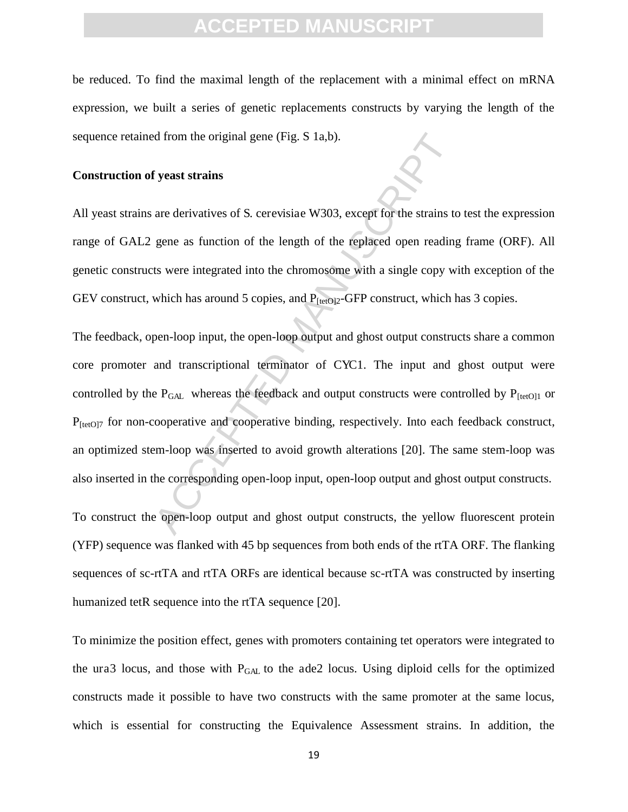be reduced. To find the maximal length of the replacement with a minimal effect on mRNA expression, we built a series of genetic replacements constructs by varying the length of the sequence retained from the original gene (Fig. S 1a,b).

#### **Construction of yeast strains**

All yeast strains are derivatives of S. cerevisiae W303, except for the strains to test the expression range of GAL2 gene as function of the length of the replaced open reading frame (ORF). All genetic constructs were integrated into the chromosome with a single copy with exception of the GEV construct, which has around 5 copies, and  $P_{[tetO]2}$ -GFP construct, which has 3 copies.

d from the original gene (Fig. S 1a,b).<br> **If yeast strains**<br>
are derivatives of S. cerevisiae W303, except for the strains to<br>
gene as function of the length of the replaced open reading<br>
ts were integrated into the chrom The feedback, open-loop input, the open-loop output and ghost output constructs share a common core promoter and transcriptional terminator of CYC1. The input and ghost output were controlled by the  $P_{GAL}$  whereas the feedback and output constructs were controlled by  $P_{[tetO]1}$  or  $P_{[tetO]7}$  for non-cooperative and cooperative binding, respectively. Into each feedback construct, an optimized stem-loop was inserted to avoid growth alterations [20]. The same stem-loop was also inserted in the corresponding open-loop input, open-loop output and ghost output constructs.

To construct the open-loop output and ghost output constructs, the yellow fluorescent protein (YFP) sequence was flanked with 45 bp sequences from both ends of the rtTA ORF. The flanking sequences of sc-rtTA and rtTA ORFs are identical because sc-rtTA was constructed by inserting humanized tetR sequence into the rtTA sequence [20].

To minimize the position effect, genes with promoters containing tet operators were integrated to the ura3 locus, and those with PGAL to the ade2 locus. Using diploid cells for the optimized constructs made it possible to have two constructs with the same promoter at the same locus, which is essential for constructing the Equivalence Assessment strains. In addition, the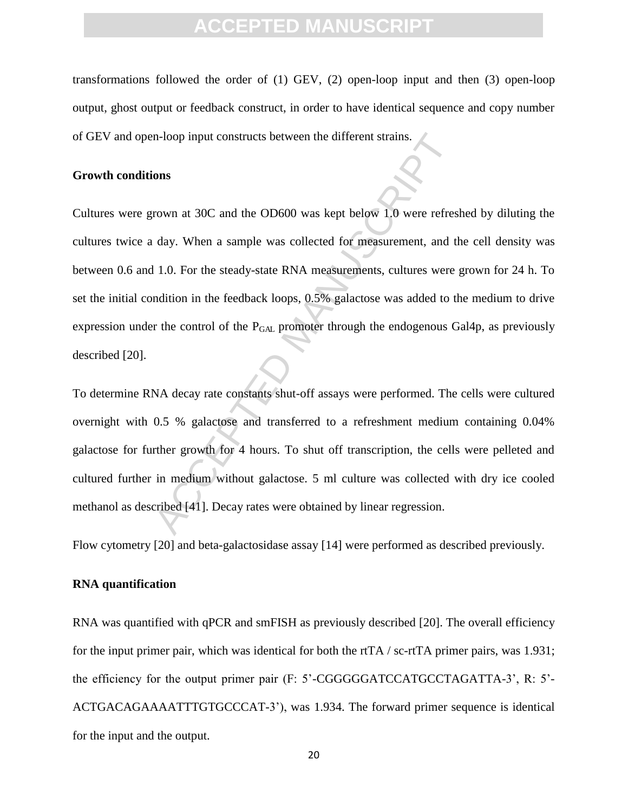transformations followed the order of (1) GEV, (2) open-loop input and then (3) open-loop output, ghost output or feedback construct, in order to have identical sequence and copy number of GEV and open-loop input constructs between the different strains.

#### **Growth conditions**

n-loop input constructs between the different strains.<br> **ons**<br> **ons**<br> **ons**<br> **ons**<br> **ons**<br> **ons**<br> **ons**<br> **ons**<br> **ons**<br> **ons**<br> **ons**<br> **ons**<br> **ons**<br> **ons**<br> **ons**<br> **ontai**<br> **ontai**<br> **ontai**<br> **ontai**<br> **ontai**<br> **ontai**<br> **ontai** Cultures were grown at 30C and the OD600 was kept below 1.0 were refreshed by diluting the cultures twice a day. When a sample was collected for measurement, and the cell density was between 0.6 and 1.0. For the steady-state RNA measurements, cultures were grown for 24 h. To set the initial condition in the feedback loops, 0.5% galactose was added to the medium to drive expression under the control of the  $P_{GAL}$  promoter through the endogenous Gal4p, as previously described [20].

To determine RNA decay rate constants shut-off assays were performed. The cells were cultured overnight with 0.5 % galactose and transferred to a refreshment medium containing 0.04% galactose for further growth for 4 hours. To shut off transcription, the cells were pelleted and cultured further in medium without galactose. 5 ml culture was collected with dry ice cooled methanol as described [41]. Decay rates were obtained by linear regression.

Flow cytometry [20] and beta-galactosidase assay [14] were performed as described previously.

#### **RNA quantification**

RNA was quantified with qPCR and smFISH as previously described [20]. The overall efficiency for the input primer pair, which was identical for both the rtTA / sc-rtTA primer pairs, was 1.931; the efficiency for the output primer pair (F: 5'-CGGGGGATCCATGCCTAGATTA-3', R: 5'- ACTGACAGAAAATTTGTGCCCAT-3'), was 1.934. The forward primer sequence is identical for the input and the output.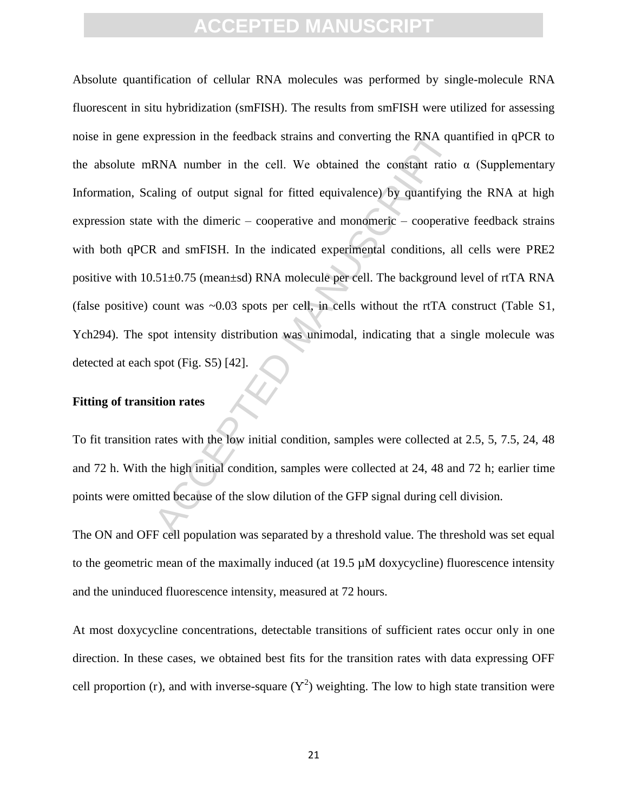the spheres in the feedback strains and converting the RNA quand RNA number in the cell. We obtained the constant ratio aling of output signal for fitted equivalence) by quantifying with the dimeric – cooperative and mono Absolute quantification of cellular RNA molecules was performed by single-molecule RNA fluorescent in situ hybridization (smFISH). The results from smFISH were utilized for assessing noise in gene expression in the feedback strains and converting the RNA quantified in qPCR to the absolute mRNA number in the cell. We obtained the constant ratio  $\alpha$  (Supplementary Information, Scaling of output signal for fitted equivalence) by quantifying the RNA at high expression state with the dimeric – cooperative and monomeric – cooperative feedback strains with both qPCR and smFISH. In the indicated experimental conditions, all cells were PRE2 positive with 10.51±0.75 (mean±sd) RNA molecule per cell. The background level of rtTA RNA (false positive) count was  $\sim 0.03$  spots per cell, in cells without the rtTA construct (Table S1, Ych294). The spot intensity distribution was unimodal, indicating that a single molecule was detected at each spot (Fig. S5) [42].

#### **Fitting of transition rates**

To fit transition rates with the low initial condition, samples were collected at 2.5, 5, 7.5, 24, 48 and 72 h. With the high initial condition, samples were collected at 24, 48 and 72 h; earlier time points were omitted because of the slow dilution of the GFP signal during cell division.

The ON and OFF cell population was separated by a threshold value. The threshold was set equal to the geometric mean of the maximally induced (at  $19.5 \mu M$  doxycycline) fluorescence intensity and the uninduced fluorescence intensity, measured at 72 hours.

At most doxycycline concentrations, detectable transitions of sufficient rates occur only in one direction. In these cases, we obtained best fits for the transition rates with data expressing OFF cell proportion (r), and with inverse-square  $(Y^2)$  weighting. The low to high state transition were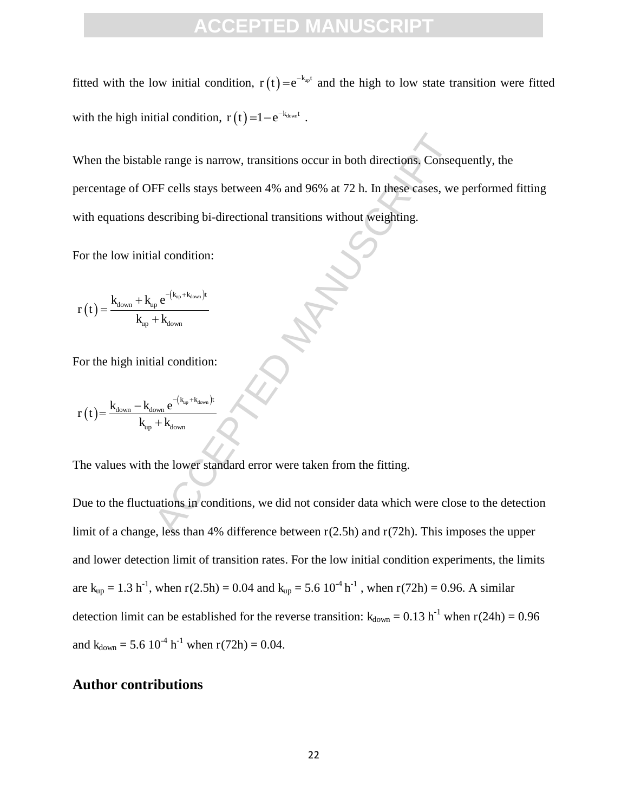fitted with the low initial condition,  $r(t) = e^{-k_{up}t}$  and the high to low state transition were fitted with the high initial condition,  $r(t) = 1 - e^{-k_{\text{down}}t}$ .

le range is narrow, transitions occur in both directions, Consections<br>
FF cells stays between 4% and 96% at 72 h. In these cases, we<br>
describing bi-directional transitions without weighting.<br>
al condition:<br>  $\frac{1}{1 + K_{down}}$ <br> When the bistable range is narrow, transitions occur in both directions. Consequently, the percentage of OFF cells stays between 4% and 96% at 72 h. In these cases, we performed fitting with equations describing bi-directional transitions without weighting.

For the low initial condition:

$$
r\left(t\right)\!=\!\frac{k_{down}+k_{up}e^{-\left(k_{up}+k_{down}\right)t}}{k_{up}+k_{down}}
$$

For the high initial condition:

$$
r\left(t\right)\!\!=\!\frac{k_{\text{down}}-k_{\text{down}}\,e^{-\left(k_{\text{up}}+k_{\text{down}}\right)t}}{k_{\text{up}}+k_{\text{down}}}
$$

The values with the lower standard error were taken from the fitting.

Due to the fluctuations in conditions, we did not consider data which were close to the detection limit of a change, less than 4% difference between r(2.5h) and r(72h). This imposes the upper and lower detection limit of transition rates. For the low initial condition experiments, the limits are  $k_{up} = 1.3 h^{-1}$ , when r(2.5h) = 0.04 and  $k_{up} = 5.6 10^{-4} h^{-1}$ , when r(72h) = 0.96. A similar detection limit can be established for the reverse transition:  $k_{down} = 0.13 h^{-1}$  when  $r(24h) = 0.96$ and  $k_{down} = 5.6 \times 10^{-4} \text{ h}^{-1}$  when  $r(72\text{h}) = 0.04$ .

#### **Author contributions**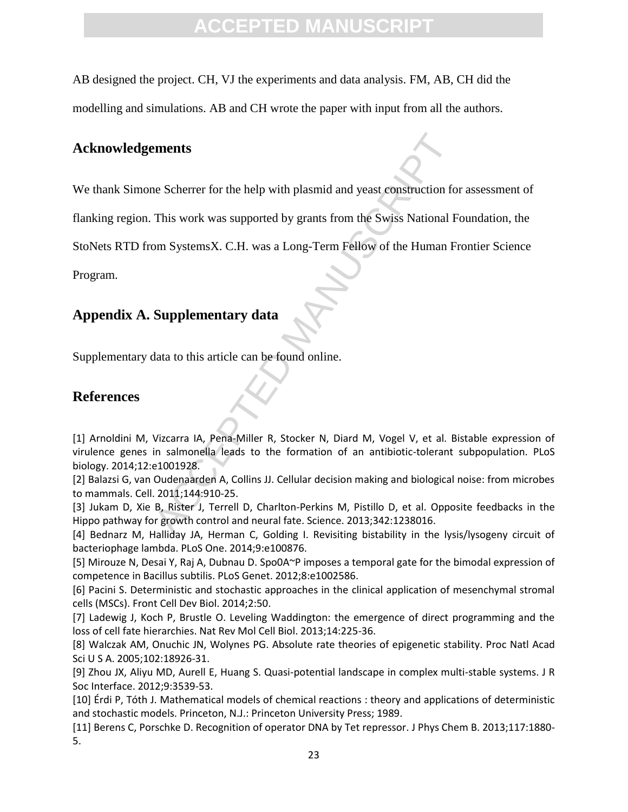AB designed the project. CH, VJ the experiments and data analysis. FM, AB, CH did the modelling and simulations. AB and CH wrote the paper with input from all the authors.

#### **Acknowledgements**

We thank Simone Scherrer for the help with plasmid and yeast construction for assessment of

flanking region. This work was supported by grants from the Swiss National Foundation, the

StoNets RTD from SystemsX. C.H. was a Long-Term Fellow of the Human Frontier Science

Program.

#### **Appendix A. Supplementary data**

Supplementary data to this article can be found online.

#### **References**

ments<br>
are Scherrer for the help with plasmid and yeast construction fo<br>
This work was supported by grants from the Swiss National F<br>
are Systems X. C.H. was a Long-Term Fellow of the Human F<br> **Supplementary data**<br>
data to [1] Arnoldini M, Vizcarra IA, Pena-Miller R, Stocker N, Diard M, Vogel V, et al. Bistable expression of virulence genes in salmonella leads to the formation of an antibiotic-tolerant subpopulation. PLoS biology. 2014;12:e1001928.

[2] Balazsi G, van Oudenaarden A, Collins JJ. Cellular decision making and biological noise: from microbes to mammals. Cell. 2011;144:910-25.

[3] Jukam D, Xie B, Rister J, Terrell D, Charlton-Perkins M, Pistillo D, et al. Opposite feedbacks in the Hippo pathway for growth control and neural fate. Science. 2013;342:1238016.

[4] Bednarz M, Halliday JA, Herman C, Golding I. Revisiting bistability in the lysis/lysogeny circuit of bacteriophage lambda. PLoS One. 2014;9:e100876.

[5] Mirouze N, Desai Y, Raj A, Dubnau D. Spo0A~P imposes a temporal gate for the bimodal expression of competence in Bacillus subtilis. PLoS Genet. 2012;8:e1002586.

[6] Pacini S. Deterministic and stochastic approaches in the clinical application of mesenchymal stromal cells (MSCs). Front Cell Dev Biol. 2014;2:50.

[7] Ladewig J, Koch P, Brustle O. Leveling Waddington: the emergence of direct programming and the loss of cell fate hierarchies. Nat Rev Mol Cell Biol. 2013;14:225-36.

[8] Walczak AM, Onuchic JN, Wolynes PG. Absolute rate theories of epigenetic stability. Proc Natl Acad Sci U S A. 2005;102:18926-31.

[9] Zhou JX, Aliyu MD, Aurell E, Huang S. Quasi-potential landscape in complex multi-stable systems. J R Soc Interface. 2012;9:3539-53.

[10] Érdi P, Tóth J. Mathematical models of chemical reactions : theory and applications of deterministic and stochastic models. Princeton, N.J.: Princeton University Press; 1989.

[11] Berens C, Porschke D. Recognition of operator DNA by Tet repressor. J Phys Chem B. 2013;117:1880- 5.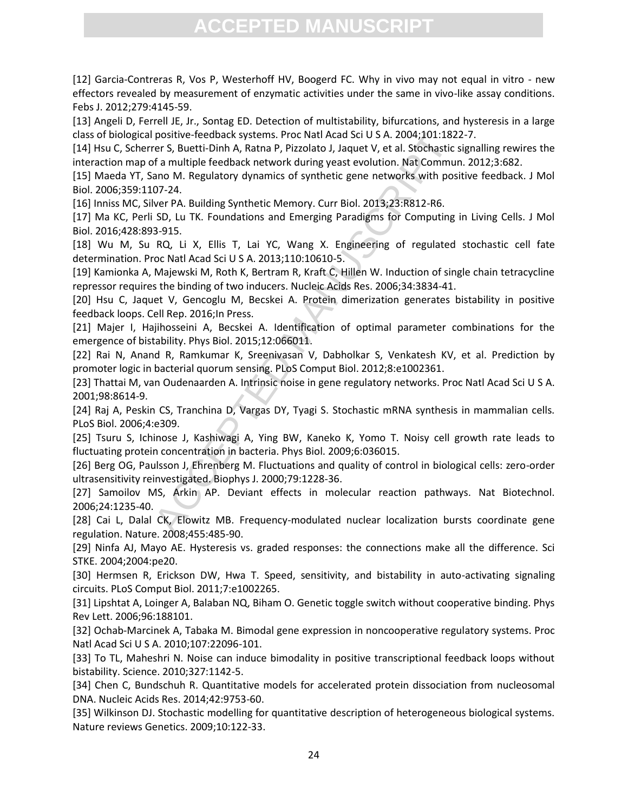[12] Garcia-Contreras R, Vos P, Westerhoff HV, Boogerd FC. Why in vivo may not equal in vitro - new effectors revealed by measurement of enzymatic activities under the same in vivo-like assay conditions. Febs J. 2012;279:4145-59.

[13] Angeli D, Ferrell JE, Jr., Sontag ED. Detection of multistability, bifurcations, and hysteresis in a large class of biological positive-feedback systems. Proc Natl Acad Sci U S A. 2004;101:1822-7.

positive-feedback systems. Proc Natl Acad Sci U S A. 2004;101:182<br>
er S. Buetti-Dinh A, Ratan P, Pizzolato J, Jaquet V, et al. Stochastic<br>
of a multiple feedback network during yeast evolution. Nat Commun<br>
ano M. Regulator [14] Hsu C, Scherrer S, Buetti-Dinh A, Ratna P, Pizzolato J, Jaquet V, et al. Stochastic signalling rewires the interaction map of a multiple feedback network during yeast evolution. Nat Commun. 2012;3:682.

[15] Maeda YT, Sano M. Regulatory dynamics of synthetic gene networks with positive feedback. J Mol Biol. 2006;359:1107-24.

[16] Inniss MC, Silver PA. Building Synthetic Memory. Curr Biol. 2013;23:R812-R6.

[17] Ma KC, Perli SD, Lu TK. Foundations and Emerging Paradigms for Computing in Living Cells. J Mol Biol. 2016;428:893-915.

[18] Wu M, Su RQ, Li X, Ellis T, Lai YC, Wang X. Engineering of regulated stochastic cell fate determination. Proc Natl Acad Sci U S A. 2013;110:10610-5.

[19] Kamionka A, Majewski M, Roth K, Bertram R, Kraft C, Hillen W. Induction of single chain tetracycline repressor requires the binding of two inducers. Nucleic Acids Res. 2006;34:3834-41.

[20] Hsu C, Jaquet V, Gencoglu M, Becskei A. Protein dimerization generates bistability in positive feedback loops. Cell Rep. 2016;In Press.

[21] Majer I, Hajihosseini A, Becskei A. Identification of optimal parameter combinations for the emergence of bistability. Phys Biol. 2015;12:066011.

[22] Rai N, Anand R, Ramkumar K, Sreenivasan V, Dabholkar S, Venkatesh KV, et al. Prediction by promoter logic in bacterial quorum sensing. PLoS Comput Biol. 2012;8:e1002361.

[23] Thattai M, van Oudenaarden A. Intrinsic noise in gene regulatory networks. Proc Natl Acad Sci U S A. 2001;98:8614-9.

[24] Raj A, Peskin CS, Tranchina D, Vargas DY, Tyagi S. Stochastic mRNA synthesis in mammalian cells. PLoS Biol. 2006;4:e309.

[25] Tsuru S, Ichinose J, Kashiwagi A, Ying BW, Kaneko K, Yomo T. Noisy cell growth rate leads to fluctuating protein concentration in bacteria. Phys Biol. 2009;6:036015.

[26] Berg OG, Paulsson J, Ehrenberg M. Fluctuations and quality of control in biological cells: zero-order ultrasensitivity reinvestigated. Biophys J. 2000;79:1228-36.

[27] Samoilov MS, Arkin AP. Deviant effects in molecular reaction pathways. Nat Biotechnol. 2006;24:1235-40.

[28] Cai L, Dalal CK, Elowitz MB. Frequency-modulated nuclear localization bursts coordinate gene regulation. Nature. 2008;455:485-90.

[29] Ninfa AJ, Mayo AE. Hysteresis vs. graded responses: the connections make all the difference. Sci STKE. 2004;2004:pe20.

[30] Hermsen R, Erickson DW, Hwa T. Speed, sensitivity, and bistability in auto-activating signaling circuits. PLoS Comput Biol. 2011;7:e1002265.

[31] Lipshtat A, Loinger A, Balaban NQ, Biham O. Genetic toggle switch without cooperative binding. Phys Rev Lett. 2006;96:188101.

[32] Ochab-Marcinek A, Tabaka M. Bimodal gene expression in noncooperative regulatory systems. Proc Natl Acad Sci U S A. 2010;107:22096-101.

[33] To TL, Maheshri N. Noise can induce bimodality in positive transcriptional feedback loops without bistability. Science. 2010;327:1142-5.

[34] Chen C, Bundschuh R. Quantitative models for accelerated protein dissociation from nucleosomal DNA. Nucleic Acids Res. 2014;42:9753-60.

[35] Wilkinson DJ. Stochastic modelling for quantitative description of heterogeneous biological systems. Nature reviews Genetics. 2009;10:122-33.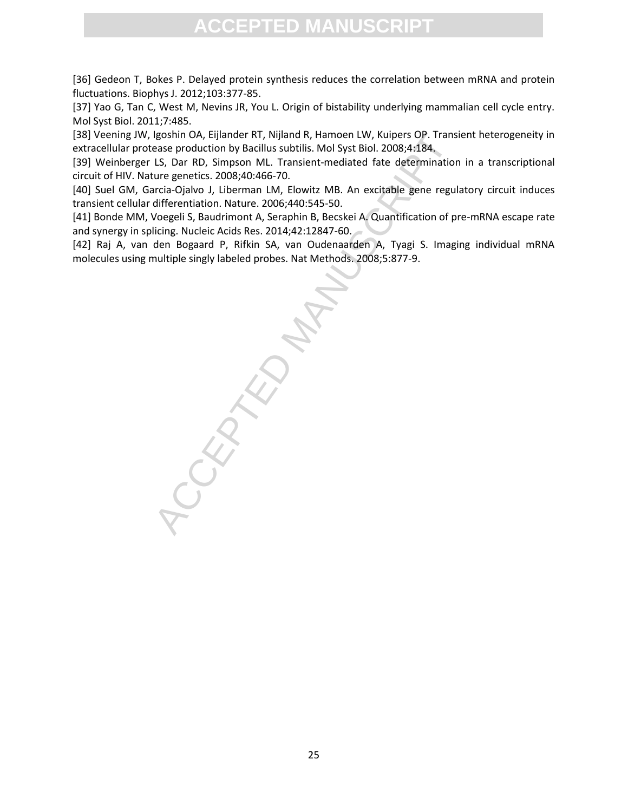[36] Gedeon T, Bokes P. Delayed protein synthesis reduces the correlation between mRNA and protein fluctuations. Biophys J. 2012;103:377-85.

[37] Yao G, Tan C, West M, Nevins JR, You L. Origin of bistability underlying mammalian cell cycle entry. Mol Syst Biol. 2011;7:485.

[38] Veening JW, Igoshin OA, Eijlander RT, Nijland R, Hamoen LW, Kuipers OP. Transient heterogeneity in extracellular protease production by Bacillus subtilis. Mol Syst Biol. 2008;4:184.

[39] Weinberger LS, Dar RD, Simpson ML. Transient-mediated fate determination in a transcriptional circuit of HIV. Nature genetics. 2008;40:466-70.

[40] Suel GM, Garcia-Ojalvo J, Liberman LM, Elowitz MB. An excitable gene regulatory circuit induces transient cellular differentiation. Nature. 2006;440:545-50.

[41] Bonde MM, Voegeli S, Baudrimont A, Seraphin B, Becskei A. Quantification of pre-mRNA escape rate and synergy in splicing. Nucleic Acids Res. 2014;42:12847-60.

[42] Raj A, van den Bogaard P, Rifkin SA, van Oudenaarden A, Tyagi S. Imaging individual mRNA molecules using multiple singly labeled probes. Nat Methods. 2008;5:877-9.

Igoshin OA, Eijlander RT, Nijland R, Hamoen LW, Kuipers OP. Trans<br>ease production by Bacillus subtilis. Moll Syst Biol. 2008;41:84.<br>LS, Dar RD, Simpson ML. Transient-mediate fate determination<br>urre genetics. 2008;40:466-70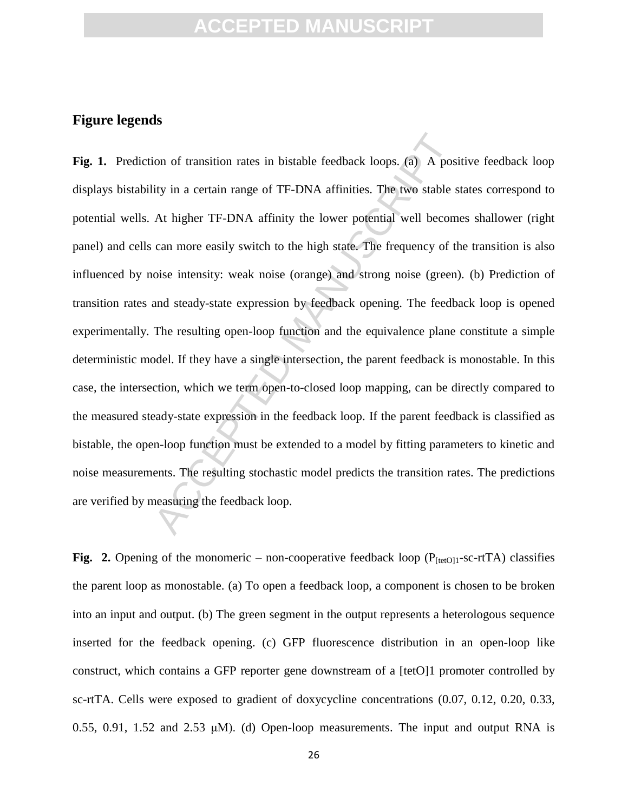#### **Figure legends**

ion of transition rates in bistable feedback loops. (a) A posity in a certain range of TF-DNA affinities. The two stable set this after the stable set the stable set this affinity the lower potential well becom can more ea Fig. 1. Prediction of transition rates in bistable feedback loops. (a) A positive feedback loop displays bistability in a certain range of TF-DNA affinities. The two stable states correspond to potential wells. At higher TF-DNA affinity the lower potential well becomes shallower (right panel) and cells can more easily switch to the high state. The frequency of the transition is also influenced by noise intensity: weak noise (orange) and strong noise (green). (b) Prediction of transition rates and steady-state expression by feedback opening. The feedback loop is opened experimentally. The resulting open-loop function and the equivalence plane constitute a simple deterministic model. If they have a single intersection, the parent feedback is monostable. In this case, the intersection, which we term open-to-closed loop mapping, can be directly compared to the measured steady-state expression in the feedback loop. If the parent feedback is classified as bistable, the open-loop function must be extended to a model by fitting parameters to kinetic and noise measurements. The resulting stochastic model predicts the transition rates. The predictions are verified by measuring the feedback loop.

**Fig. 2.** Opening of the monomeric – non-cooperative feedback loop ( $P_{[tetO]1}$ -sc-rtTA) classifies the parent loop as monostable. (a) To open a feedback loop, a component is chosen to be broken into an input and output. (b) The green segment in the output represents a heterologous sequence inserted for the feedback opening. (c) GFP fluorescence distribution in an open-loop like construct, which contains a GFP reporter gene downstream of a [tetO]1 promoter controlled by sc-rtTA. Cells were exposed to gradient of doxycycline concentrations (0.07, 0.12, 0.20, 0.33, 0.55, 0.91, 1.52 and 2.53  $\mu$ M). (d) Open-loop measurements. The input and output RNA is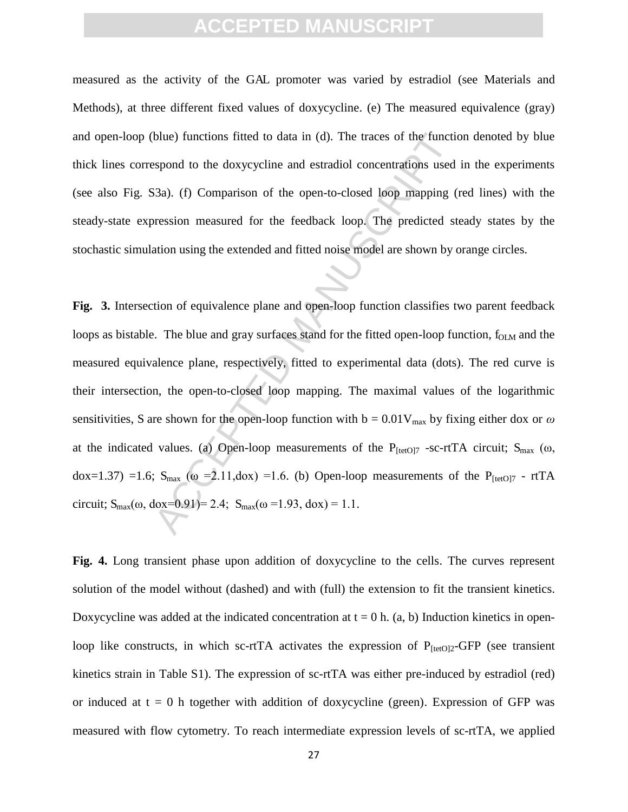measured as the activity of the GAL promoter was varied by estradiol (see Materials and Methods), at three different fixed values of doxycycline. (e) The measured equivalence (gray) and open-loop (blue) functions fitted to data in (d). The traces of the function denoted by blue thick lines correspond to the doxycycline and estradiol concentrations used in the experiments (see also Fig. S3a). (f) Comparison of the open-to-closed loop mapping (red lines) with the steady-state expression measured for the feedback loop. The predicted steady states by the stochastic simulation using the extended and fitted noise model are shown by orange circles.

blue) functions fitted to data in (d). The traces of the functi-<br>sspond to the doxycycline and estradiol concentrations used<br>33a). (f) Comparison of the open-to-closed loop mapping (<br>pression measured for the feedback loo **Fig. 3.** Intersection of equivalence plane and open-loop function classifies two parent feedback loops as bistable. The blue and gray surfaces stand for the fitted open-loop function,  $f_{OLM}$  and the measured equivalence plane, respectively, fitted to experimental data (dots). The red curve is their intersection, the open-to-closed loop mapping. The maximal values of the logarithmic sensitivities, S are shown for the open-loop function with  $b = 0.01V_{max}$  by fixing either dox or  $\omega$ at the indicated values. (a) Open-loop measurements of the  $P_{[tetO]7}$  -sc-rtTA circuit;  $S_{max}$  ( $\omega$ , dox=1.37) =1.6;  $S_{max}$  ( $\omega$  =2.11,dox) =1.6. (b) Open-loop measurements of the P<sub>[tetO]7</sub> - rtTA circuit;  $S_{max}(\omega, \text{dox=0.91}) = 2.4$ ;  $S_{max}(\omega = 1.93, \text{dox}) = 1.1$ .

**Fig. 4.** Long transient phase upon addition of doxycycline to the cells. The curves represent solution of the model without (dashed) and with (full) the extension to fit the transient kinetics. Doxycycline was added at the indicated concentration at  $t = 0$  h. (a, b) Induction kinetics in openloop like constructs, in which sc-rtTA activates the expression of  $P_{[tetO]2}$ -GFP (see transient kinetics strain in Table S1). The expression of sc-rtTA was either pre-induced by estradiol (red) or induced at  $t = 0$  h together with addition of doxycycline (green). Expression of GFP was measured with flow cytometry. To reach intermediate expression levels of sc-rtTA, we applied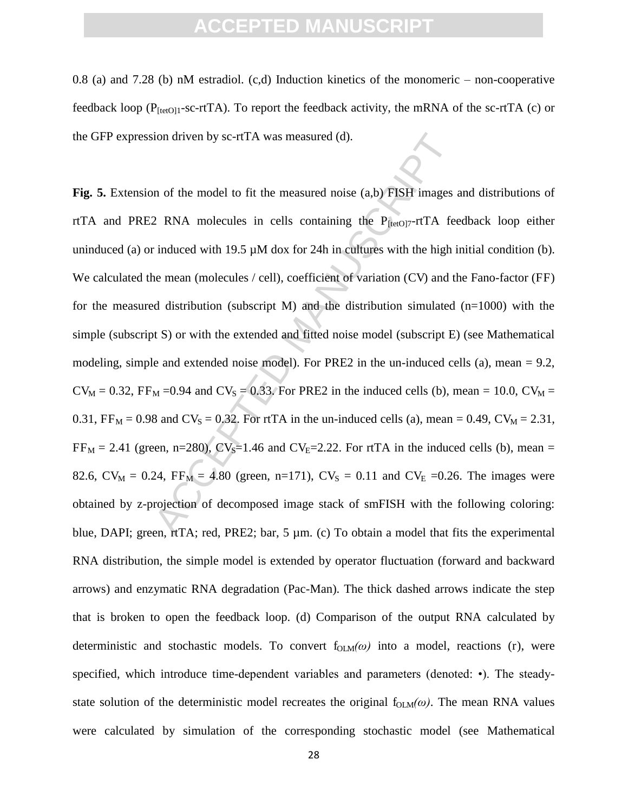0.8 (a) and 7.28 (b) nM estradiol. (c,d) Induction kinetics of the monomeric – non-cooperative feedback loop ( $P_{[tetO]1}$ -sc-rtTA). To report the feedback activity, the mRNA of the sc-rtTA (c) or the GFP expression driven by sc-rtTA was measured (d).

ion driven by sc-rtTA was measured (d).<br>
an of the model to fit the measured noise (a,b) FISH images<br>
2 RNA molecules in cells containing the P<sub>[kefo]7</sub>-rtTA fer-<br>
induced with 19.5 μM dox for 24h in cultures with the hi **Fig. 5.** Extension of the model to fit the measured noise (a,b) FISH images and distributions of rtTA and PRE2 RNA molecules in cells containing the  $P_{[tetO]7}$ -rtTA feedback loop either uninduced (a) or induced with 19.5  $\mu$ M dox for 24h in cultures with the high initial condition (b). We calculated the mean (molecules / cell), coefficient of variation (CV) and the Fano-factor (FF) for the measured distribution (subscript M) and the distribution simulated  $(n=1000)$  with the simple (subscript S) or with the extended and fitted noise model (subscript E) (see Mathematical modeling, simple and extended noise model). For PRE2 in the un-induced cells (a), mean  $= 9.2$ ,  $CV_M = 0.32$ ,  $FF_M = 0.94$  and  $CV_S = 0.33$ . For PRE2 in the induced cells (b), mean = 10.0,  $CV_M =$ 0.31,  $FF_M = 0.98$  and  $CV_S = 0.32$ . For rtTA in the un-induced cells (a), mean = 0.49,  $CV_M = 2.31$ ,  $FF<sub>M</sub> = 2.41$  (green, n=280),  $CV<sub>S</sub>=1.46$  and  $CV<sub>E</sub>=2.22$ . For rtTA in the induced cells (b), mean = 82.6,  $CV_M = 0.24$ ,  $FF_M = 4.80$  (green, n=171),  $CV_S = 0.11$  and  $CV_E = 0.26$ . The images were obtained by z-projection of decomposed image stack of smFISH with the following coloring: blue, DAPI; green, rtTA; red, PRE2; bar, 5  $\mu$ m. (c) To obtain a model that fits the experimental RNA distribution, the simple model is extended by operator fluctuation (forward and backward arrows) and enzymatic RNA degradation (Pac-Man). The thick dashed arrows indicate the step that is broken to open the feedback loop. (d) Comparison of the output RNA calculated by deterministic and stochastic models. To convert  $f_{OLM}(\omega)$  into a model, reactions (r), were specified, which introduce time-dependent variables and parameters (denoted: •). The steadystate solution of the deterministic model recreates the original  $f_{OLM}(\omega)$ . The mean RNA values were calculated by simulation of the corresponding stochastic model (see Mathematical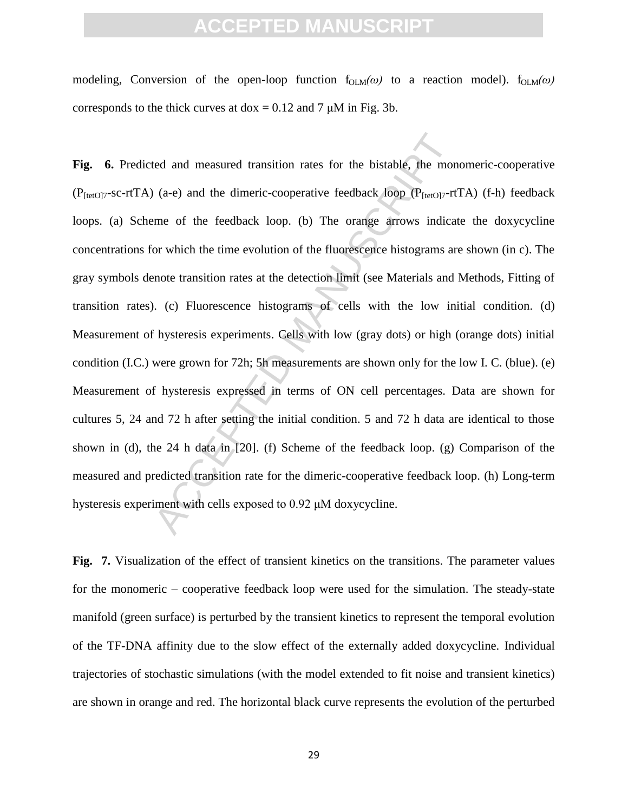modeling, Conversion of the open-loop function  $f_{\text{OLM}}(\omega)$  to a reaction model).  $f_{\text{OLM}}(\omega)$ corresponds to the thick curves at  $d$ ox = 0.12 and 7  $\mu$ M in Fig. 3b.

ted and measured transition rates for the bistable, the mon<br>
(a-e) and the dimeric-cooperative feedback loop ( $P_{[te(0)7}$-rt$ <br>
me of the feedback loop. (b) The orange arrows indica<br>
or which the time evolution of the fluore **Fig. 6.** Predicted and measured transition rates for the bistable, the monomeric-cooperative ( $P_{[tetO]7-SC-rtTA}$ ) (a-e) and the dimeric-cooperative feedback loop ( $P_{[tetO]7-rtTA}$ ) (f-h) feedback loops. (a) Scheme of the feedback loop. (b) The orange arrows indicate the doxycycline concentrations for which the time evolution of the fluorescence histograms are shown (in c). The gray symbols denote transition rates at the detection limit (see Materials and Methods, Fitting of transition rates). (c) Fluorescence histograms of cells with the low initial condition. (d) Measurement of hysteresis experiments. Cells with low (gray dots) or high (orange dots) initial condition (I.C.) were grown for 72h; 5h measurements are shown only for the low I. C. (blue). (e) Measurement of hysteresis expressed in terms of ON cell percentages. Data are shown for cultures 5, 24 and 72 h after setting the initial condition. 5 and 72 h data are identical to those shown in (d), the 24 h data in [20]. (f) Scheme of the feedback loop. (g) Comparison of the measured and predicted transition rate for the dimeric-cooperative feedback loop. (h) Long-term hysteresis experiment with cells exposed to  $0.92 \mu M$  doxycycline.

Fig. 7. Visualization of the effect of transient kinetics on the transitions. The parameter values for the monomeric – cooperative feedback loop were used for the simulation. The steady-state manifold (green surface) is perturbed by the transient kinetics to represent the temporal evolution of the TF-DNA affinity due to the slow effect of the externally added doxycycline. Individual trajectories of stochastic simulations (with the model extended to fit noise and transient kinetics) are shown in orange and red. The horizontal black curve represents the evolution of the perturbed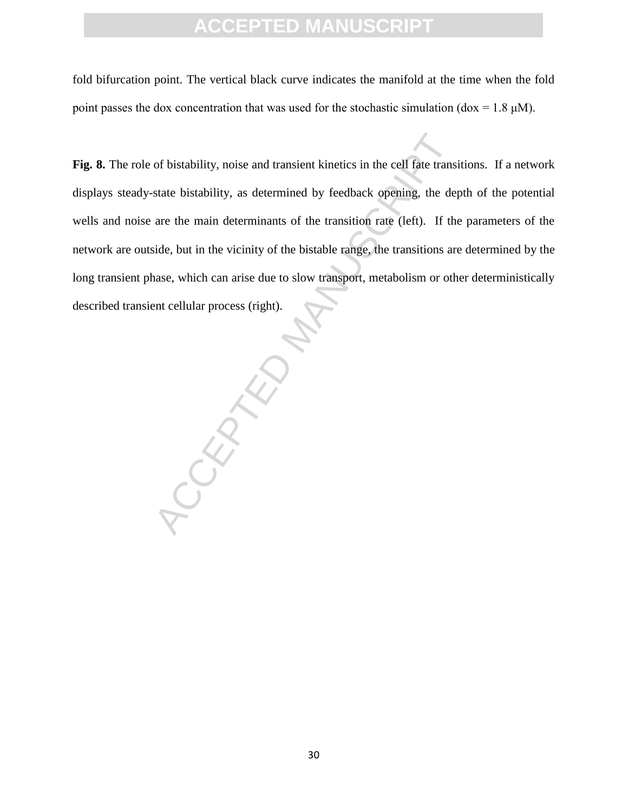fold bifurcation point. The vertical black curve indicates the manifold at the time when the fold point passes the dox concentration that was used for the stochastic simulation (dox =  $1.8 \mu M$ ).

Fig. 8. The role of bistability, noise and transient kinetics in the cell fate transitions. If a network displays steady-state bistability, as determined by feedback opening, the depth of the potential wells and noise are the main determinants of the transition rate (left). If the parameters of the network are outside, but in the vicinity of the bistable range, the transitions are determined by the long transient phase, which can arise due to slow transport, metabolism or other deterministically described transient cellular process (right).

ROCKEY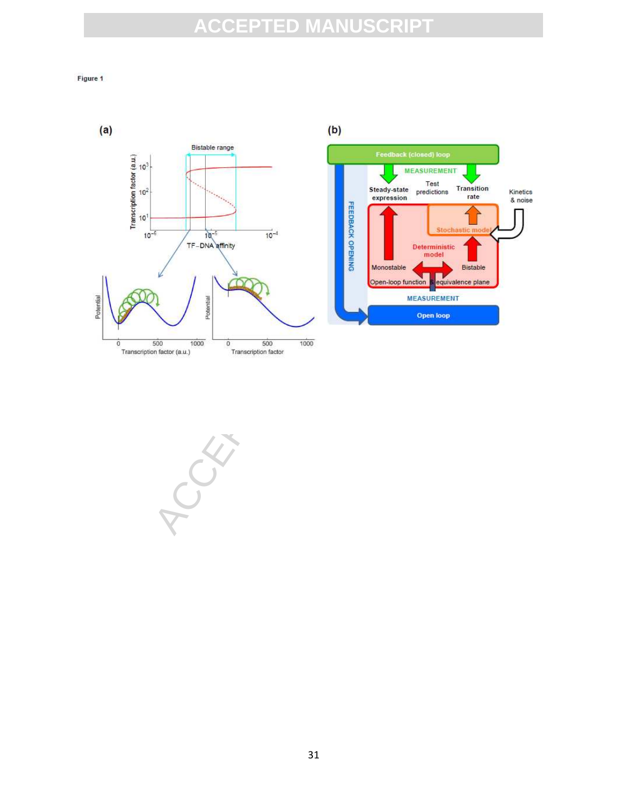#### Figure 1





31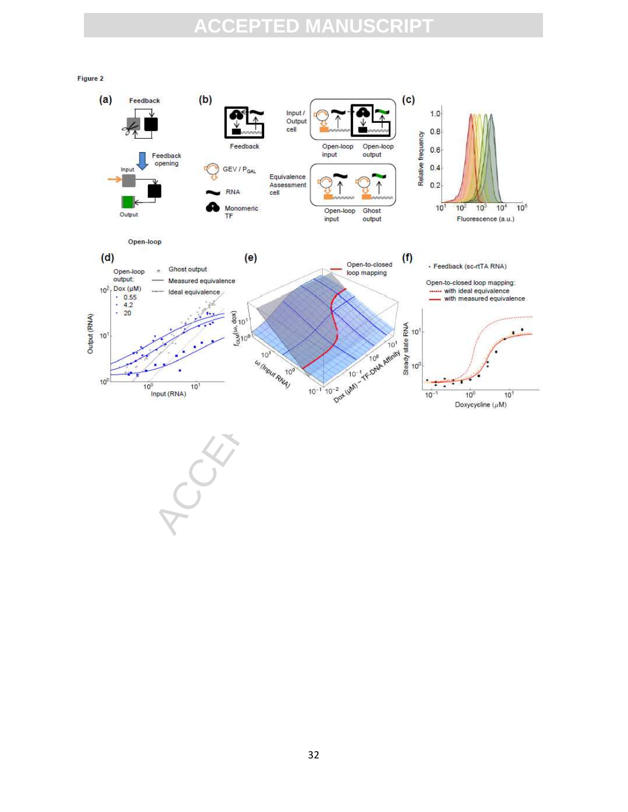Figure 2

 $(b)$  $(c)$  $(a)$ Feedback  $1.0$ Input / Output ACCEPTED MANUSCRIPT Input  $10<sup>3</sup>$  $10<sup>4</sup>$  $10<sup>5</sup>$ Output  $(d)$ Open-loop output: 10<sup>2</sup>, Dox (µM)  $\begin{array}{r} \cdot & 0.55 \\ \cdot & 4.2 \\ \cdot & 20 \end{array}$ Output (RNA)  $10<sup>1</sup>$  $10<sup>0</sup>$  $10<sup>0</sup>$  $10<sup>1</sup>$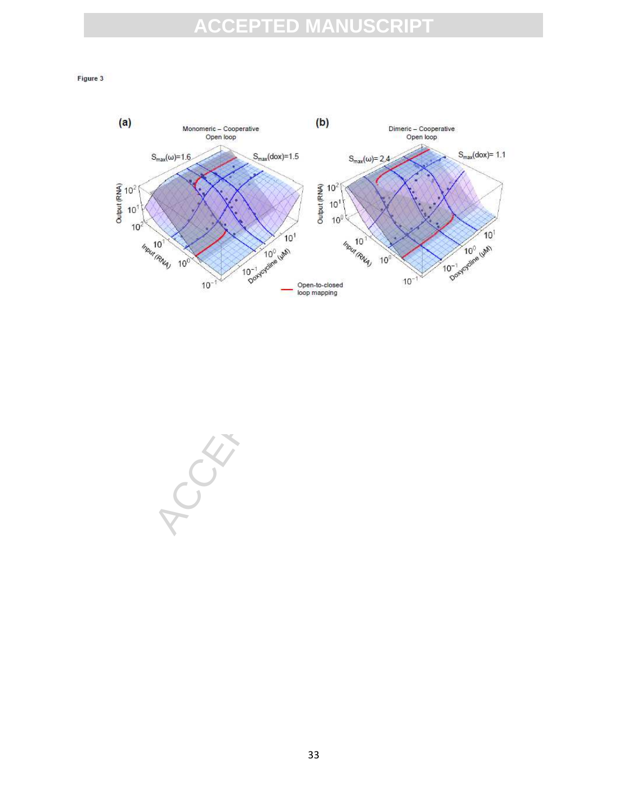#### Figure 3



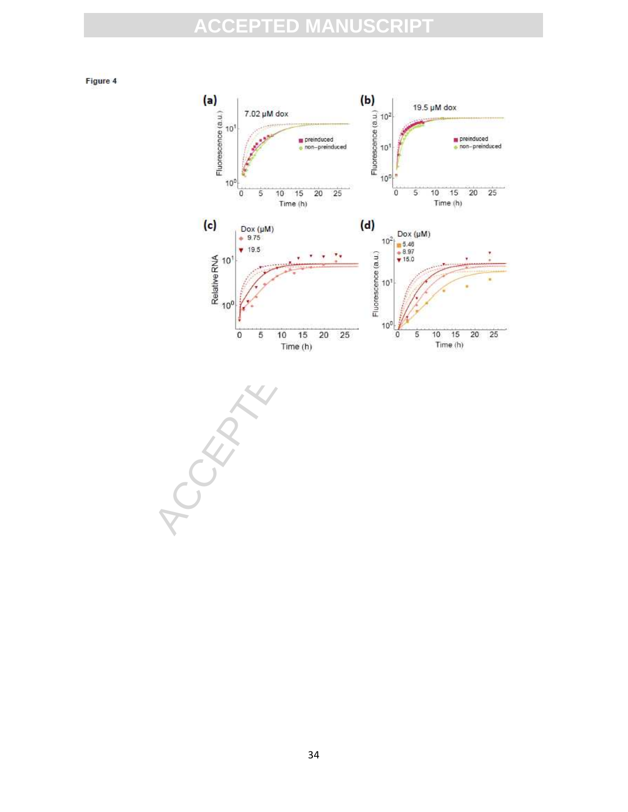Figure 4



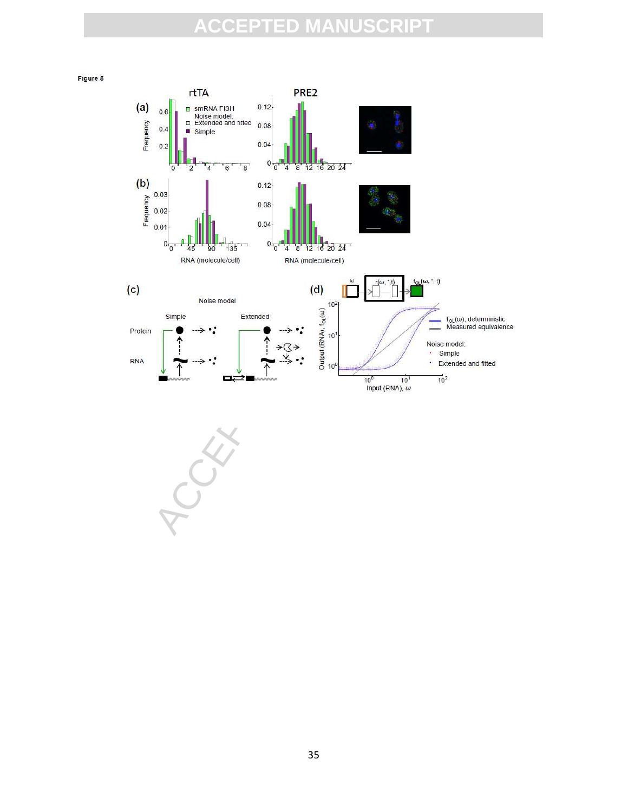



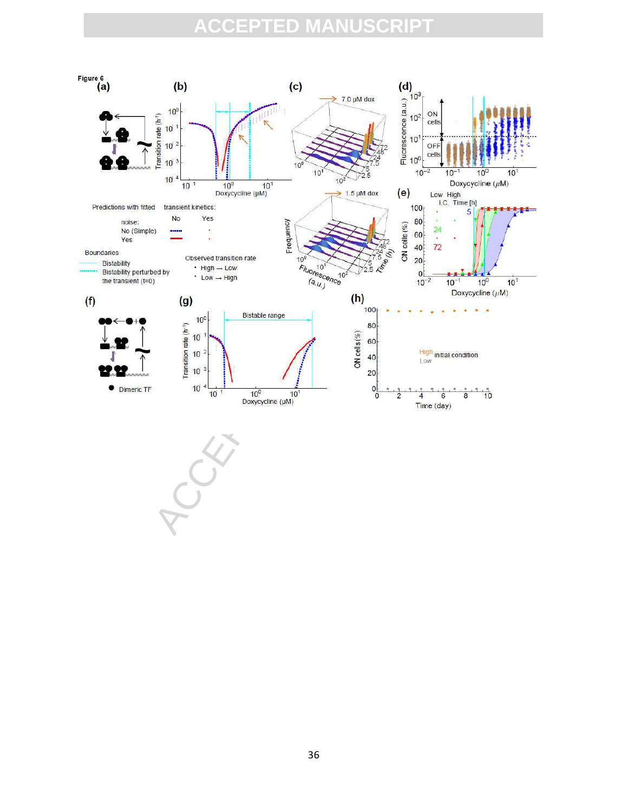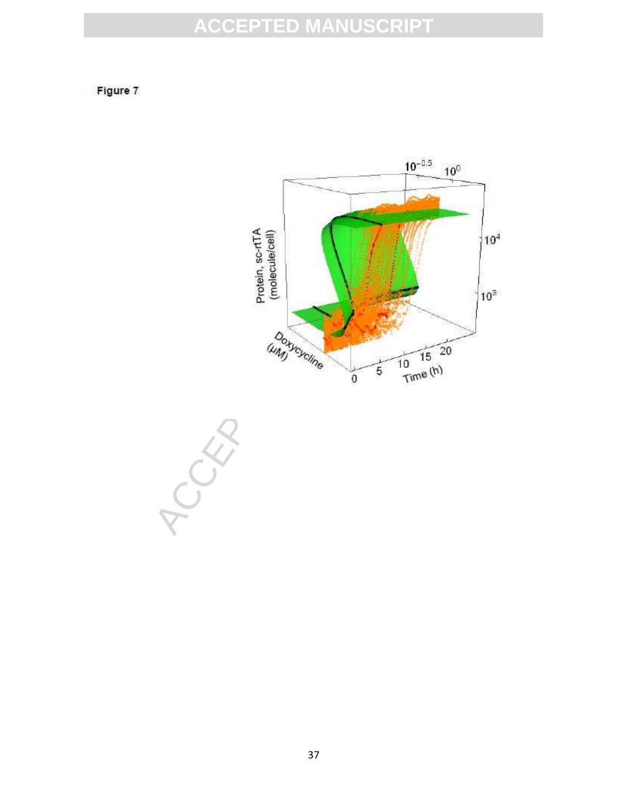Figure 7



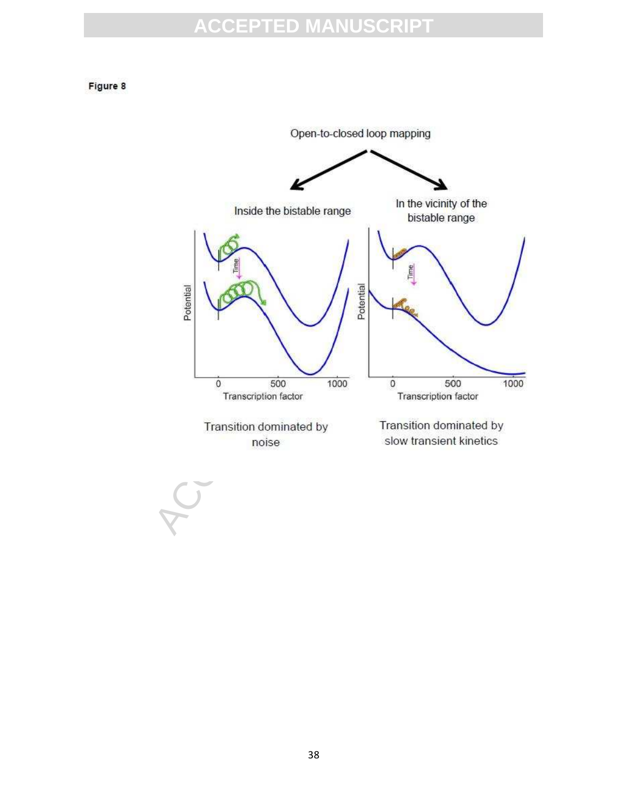#### Figure 8



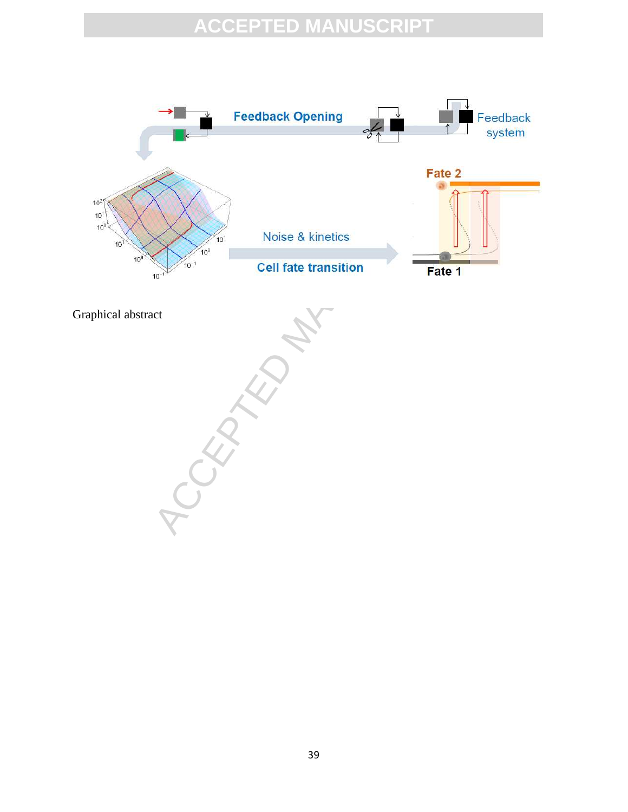

Graphical abstract

Fate 2<br>
Which we have a kinetics<br>
Cell fate transition<br>
Tate 1<br>
Tate 1<br>
Tate 1<br>
Tate 1<br>
Tate 1<br>
Tate 1<br>
Tate 1<br>
Tate 1<br>
Tate 1<br>
Tate 1<br>
Tate 1<br>
Tate 1<br>
Tate 1<br>
Tate 1<br>
Tate 1<br>
Tate 1<br>
Tate 1<br>
Tate 1<br>
Tate 1<br>
Tate 1<br>
Tate 1